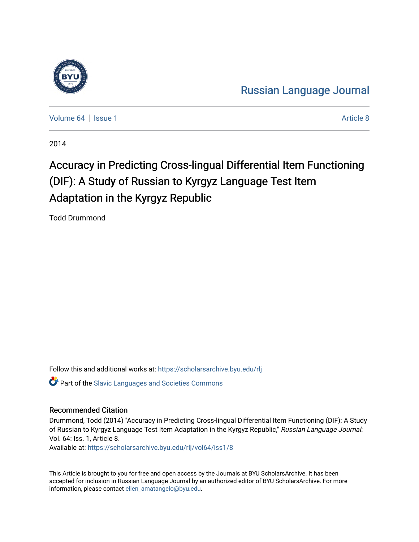

[Russian Language Journal](https://scholarsarchive.byu.edu/rlj) 

[Volume 64](https://scholarsarchive.byu.edu/rlj/vol64) | [Issue 1](https://scholarsarchive.byu.edu/rlj/vol64/iss1) Article 8

2014

# Accuracy in Predicting Cross-lingual Differential Item Functioning (DIF): A Study of Russian to Kyrgyz Language Test Item Adaptation in the Kyrgyz Republic

Todd Drummond

Follow this and additional works at: [https://scholarsarchive.byu.edu/rlj](https://scholarsarchive.byu.edu/rlj?utm_source=scholarsarchive.byu.edu%2Frlj%2Fvol64%2Fiss1%2F8&utm_medium=PDF&utm_campaign=PDFCoverPages) **P** Part of the Slavic Languages and Societies Commons

#### Recommended Citation

Drummond, Todd (2014) "Accuracy in Predicting Cross-lingual Differential Item Functioning (DIF): A Study of Russian to Kyrgyz Language Test Item Adaptation in the Kyrgyz Republic," Russian Language Journal: Vol. 64: Iss. 1, Article 8. Available at: [https://scholarsarchive.byu.edu/rlj/vol64/iss1/8](https://scholarsarchive.byu.edu/rlj/vol64/iss1/8?utm_source=scholarsarchive.byu.edu%2Frlj%2Fvol64%2Fiss1%2F8&utm_medium=PDF&utm_campaign=PDFCoverPages) 

This Article is brought to you for free and open access by the Journals at BYU ScholarsArchive. It has been accepted for inclusion in Russian Language Journal by an authorized editor of BYU ScholarsArchive. For more information, please contact [ellen\\_amatangelo@byu.edu.](mailto:ellen_amatangelo@byu.edu)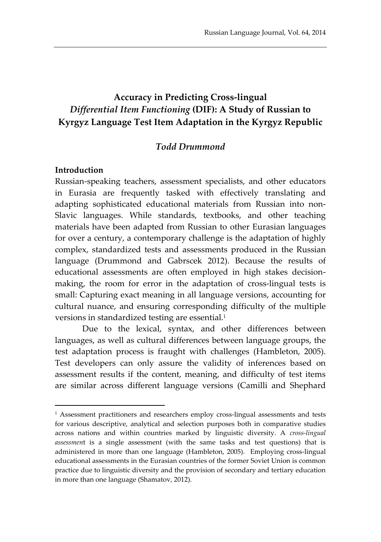# **Accuracy in Predicting Cross-lingual**  *Differential Item Functioning* **(DIF): A Study of Russian to Kyrgyz Language Test Item Adaptation in the Kyrgyz Republic**

#### *Todd Drummond*

#### **Introduction**

 $\overline{a}$ 

Russian-speaking teachers, assessment specialists, and other educators in Eurasia are frequently tasked with effectively translating and adapting sophisticated educational materials from Russian into non-Slavic languages. While standards, textbooks, and other teaching materials have been adapted from Russian to other Eurasian languages for over a century, a contemporary challenge is the adaptation of highly complex, standardized tests and assessments produced in the Russian language (Drummond and Gabrscek 2012). Because the results of educational assessments are often employed in high stakes decisionmaking, the room for error in the adaptation of cross-lingual tests is small: Capturing exact meaning in all language versions, accounting for cultural nuance, and ensuring corresponding difficulty of the multiple versions in standardized testing are essential.<sup>1</sup>

Due to the lexical, syntax, and other differences between languages, as well as cultural differences between language groups, the test adaptation process is fraught with challenges (Hambleton, 2005). Test developers can only assure the validity of inferences based on assessment results if the content, meaning, and difficulty of test items are similar across different language versions (Camilli and Shephard

<sup>1</sup> Assessment practitioners and researchers employ cross-lingual assessments and tests for various descriptive, analytical and selection purposes both in comparative studies across nations and within countries marked by linguistic diversity. A *cross-lingual assessmen*t is a single assessment (with the same tasks and test questions) that is administered in more than one language (Hambleton, 2005). Employing cross-lingual educational assessments in the Eurasian countries of the former Soviet Union is common practice due to linguistic diversity and the provision of secondary and tertiary education in more than one language (Shamatov, 2012).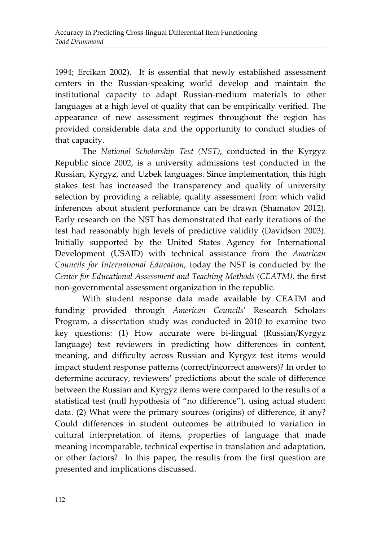1994; Ercikan 2002). It is essential that newly established assessment centers in the Russian-speaking world develop and maintain the institutional capacity to adapt Russian-medium materials to other languages at a high level of quality that can be empirically verified. The appearance of new assessment regimes throughout the region has provided considerable data and the opportunity to conduct studies of that capacity.

The *National Scholarship Test (NST)*, conducted in the Kyrgyz Republic since 2002, is a university admissions test conducted in the Russian, Kyrgyz, and Uzbek languages. Since implementation, this high stakes test has increased the transparency and quality of university selection by providing a reliable, quality assessment from which valid inferences about student performance can be drawn (Shamatov 2012). Early research on the NST has demonstrated that early iterations of the test had reasonably high levels of predictive validity (Davidson 2003). Initially supported by the United States Agency for International Development (USAID) with technical assistance from the *American Councils for International Education*, today the NST is conducted by the *Center for Educational Assessment and Teaching Methods (CEATM)*, the first non-governmental assessment organization in the republic.

With student response data made available by CEATM and funding provided through *American Councils*' Research Scholars Program, a dissertation study was conducted in 2010 to examine two key questions: (1) How accurate were bi-lingual (Russian/Kyrgyz language) test reviewers in predicting how differences in content, meaning, and difficulty across Russian and Kyrgyz test items would impact student response patterns (correct/incorrect answers)? In order to determine accuracy, reviewers' predictions about the scale of difference between the Russian and Kyrgyz items were compared to the results of a statistical test (null hypothesis of "no difference"), using actual student data. (2) What were the primary sources (origins) of difference, if any? Could differences in student outcomes be attributed to variation in cultural interpretation of items, properties of language that made meaning incomparable, technical expertise in translation and adaptation, or other factors? In this paper, the results from the first question are presented and implications discussed.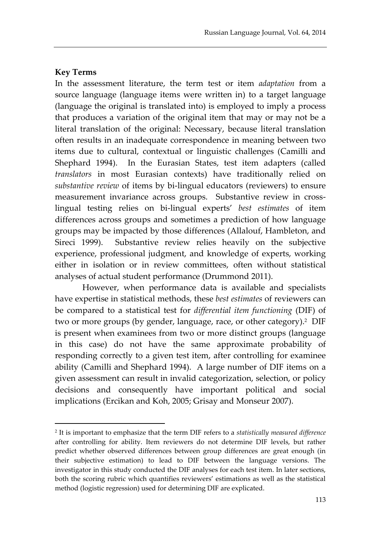### **Key Terms**

 $\overline{a}$ 

In the assessment literature, the term test or item *adaptation* from a source language (language items were written in) to a target language (language the original is translated into) is employed to imply a process that produces a variation of the original item that may or may not be a literal translation of the original: Necessary, because literal translation often results in an inadequate correspondence in meaning between two items due to cultural, contextual or linguistic challenges (Camilli and Shephard 1994). In the Eurasian States, test item adapters (called *translators* in most Eurasian contexts) have traditionally relied on *substantive review* of items by bi-lingual educators (reviewers) to ensure measurement invariance across groups. Substantive review in crosslingual testing relies on bi-lingual experts' *best estimates* of item differences across groups and sometimes a prediction of how language groups may be impacted by those differences (Allalouf, Hambleton, and Sireci 1999). Substantive review relies heavily on the subjective experience, professional judgment, and knowledge of experts, working either in isolation or in review committees, often without statistical analyses of actual student performance (Drummond 2011).

However, when performance data is available and specialists have expertise in statistical methods, these *best estimates* of reviewers can be compared to a statistical test for *differential item functioning* (DIF) of two or more groups (by gender, language, race, or other category). 2 DIF is present when examinees from two or more distinct groups (language in this case) do not have the same approximate probability of responding correctly to a given test item, after controlling for examinee ability (Camilli and Shephard 1994). A large number of DIF items on a given assessment can result in invalid categorization, selection, or policy decisions and consequently have important political and social implications (Ercikan and Koh, 2005; Grisay and Monseur 2007).

<sup>2</sup> It is important to emphasize that the term DIF refers to a *statistically measured difference*  after controlling for ability. Item reviewers do not determine DIF levels, but rather predict whether observed differences between group differences are great enough (in their subjective estimation) to lead to DIF between the language versions. The investigator in this study conducted the DIF analyses for each test item. In later sections, both the scoring rubric which quantifies reviewers' estimations as well as the statistical method (logistic regression) used for determining DIF are explicated.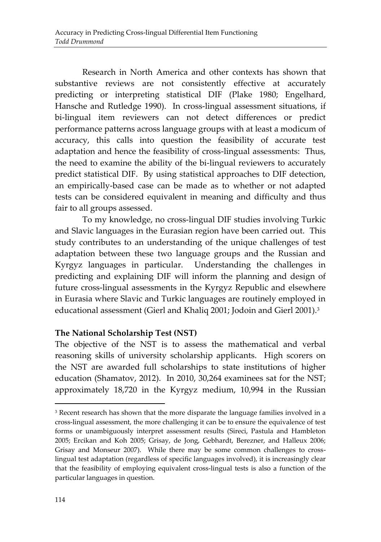Research in North America and other contexts has shown that substantive reviews are not consistently effective at accurately predicting or interpreting statistical DIF (Plake 1980; Engelhard, Hansche and Rutledge 1990). In cross-lingual assessment situations, if bi-lingual item reviewers can not detect differences or predict performance patterns across language groups with at least a modicum of accuracy, this calls into question the feasibility of accurate test adaptation and hence the feasibility of cross-lingual assessments: Thus, the need to examine the ability of the bi-lingual reviewers to accurately predict statistical DIF. By using statistical approaches to DIF detection, an empirically-based case can be made as to whether or not adapted tests can be considered equivalent in meaning and difficulty and thus fair to all groups assessed.

To my knowledge, no cross-lingual DIF studies involving Turkic and Slavic languages in the Eurasian region have been carried out. This study contributes to an understanding of the unique challenges of test adaptation between these two language groups and the Russian and Kyrgyz languages in particular. Understanding the challenges in predicting and explaining DIF will inform the planning and design of future cross-lingual assessments in the Kyrgyz Republic and elsewhere in Eurasia where Slavic and Turkic languages are routinely employed in educational assessment (Gierl and Khaliq 2001; Jodoin and Gierl 2001).<sup>3</sup>

### **The National Scholarship Test (NST)**

The objective of the NST is to assess the mathematical and verbal reasoning skills of university scholarship applicants. High scorers on the NST are awarded full scholarships to state institutions of higher education (Shamatov, 2012). In 2010, 30,264 examinees sat for the NST; approximately 18,720 in the Kyrgyz medium, 10,994 in the Russian

 $\overline{a}$ 

<sup>&</sup>lt;sup>3</sup> Recent research has shown that the more disparate the language families involved in a cross-lingual assessment, the more challenging it can be to ensure the equivalence of test forms or unambiguously interpret assessment results (Sireci, Pastula and Hambleton 2005; Ercikan and Koh 2005; Grisay, de Jong, Gebhardt, Berezner, and Halleux 2006; Grisay and Monseur 2007). While there may be some common challenges to crosslingual test adaptation (regardless of specific languages involved), it is increasingly clear that the feasibility of employing equivalent cross-lingual tests is also a function of the particular languages in question.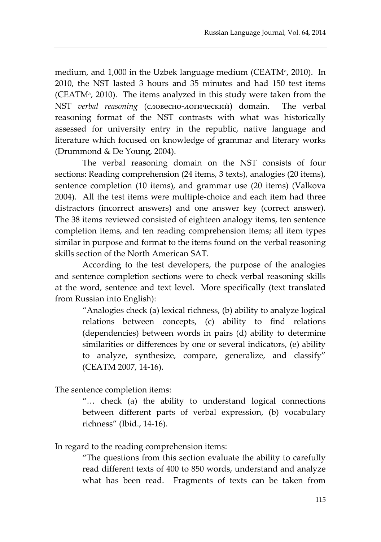medium, and 1,000 in the Uzbek language medium (CEATMª, 2010). In 2010, the NST lasted 3 hours and 35 minutes and had 150 test items (CEATM $\alpha$ , 2010). The items analyzed in this study were taken from the NST *verbal reasoning* (словесно-логический) domain. The verbal reasoning format of the NST contrasts with what was historically assessed for university entry in the republic, native language and literature which focused on knowledge of grammar and literary works (Drummond & De Young, 2004).

The verbal reasoning domain on the NST consists of four sections: Reading comprehension (24 items, 3 texts), analogies (20 items), sentence completion (10 items), and grammar use (20 items) (Valkova 2004). All the test items were multiple-choice and each item had three distractors (incorrect answers) and one answer key (correct answer). The 38 items reviewed consisted of eighteen analogy items, ten sentence completion items, and ten reading comprehension items; all item types similar in purpose and format to the items found on the verbal reasoning skills section of the North American SAT.

According to the test developers, the purpose of the analogies and sentence completion sections were to check verbal reasoning skills at the word, sentence and text level. More specifically (text translated from Russian into English):

"Analogies check (a) lexical richness, (b) ability to analyze logical relations between concepts, (c) ability to find relations (dependencies) between words in pairs (d) ability to determine similarities or differences by one or several indicators, (e) ability to analyze, synthesize, compare, generalize, and classify" (CEATM 2007, 14-16).

The sentence completion items:

"… check (a) the ability to understand logical connections between different parts of verbal expression, (b) vocabulary richness" (Ibid., 14-16).

In regard to the reading comprehension items:

"The questions from this section evaluate the ability to carefully read different texts of 400 to 850 words, understand and analyze what has been read. Fragments of texts can be taken from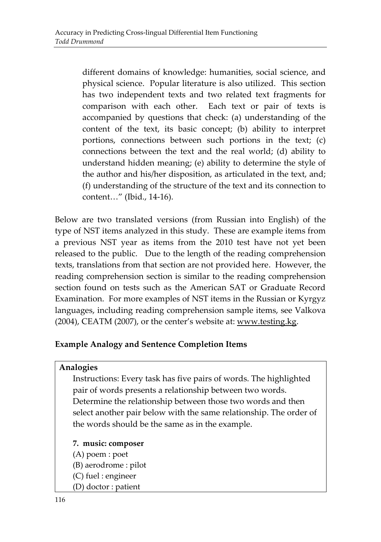different domains of knowledge: humanities, social science, and physical science. Popular literature is also utilized. This section has two independent texts and two related text fragments for comparison with each other. Each text or pair of texts is accompanied by questions that check: (a) understanding of the content of the text, its basic concept; (b) ability to interpret portions, connections between such portions in the text; (c) connections between the text and the real world; (d) ability to understand hidden meaning; (e) ability to determine the style of the author and his/her disposition, as articulated in the text, and; (f) understanding of the structure of the text and its connection to content…" (Ibid., 14-16).

Below are two translated versions (from Russian into English) of the type of NST items analyzed in this study. These are example items from a previous NST year as items from the 2010 test have not yet been released to the public. Due to the length of the reading comprehension texts, translations from that section are not provided here. However, the reading comprehension section is similar to the reading comprehension section found on tests such as the American SAT or Graduate Record Examination. For more examples of NST items in the Russian or Kyrgyz languages, including reading comprehension sample items, see Valkova (2004), CEATM (2007), or the center's website at: [www.testing.kg.](http://www.testing.kg/)

### **Example Analogy and Sentence Completion Items**

#### **Analogies**

Instructions: Every task has five pairs of words. The highlighted pair of words presents a relationship between two words. Determine the relationship between those two words and then select another pair below with the same relationship. The order of the words should be the same as in the example.

**7. music: composer**

- (А) poem : poet
- (B) aerodrome : pilot
- (C) fuel : engineer
- (D) doctor : patient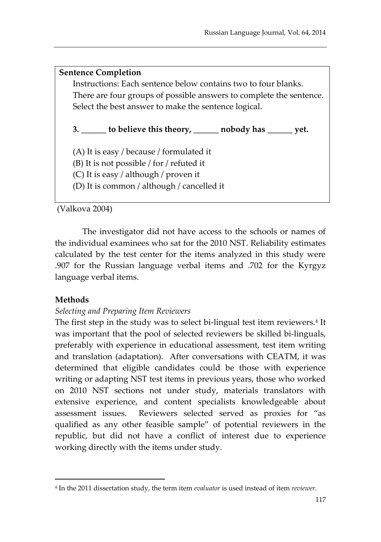#### **Sentence Completion**

Instructions: Each sentence below contains two to four blanks. There are four groups of possible answers to complete the sentence. Select the best answer to make the sentence logical.

**3. \_\_\_\_\_\_ to believe this theory, \_\_\_\_\_\_ nobody has \_\_\_\_\_\_ yet.**

(А) It is easy / because / formulated it

(B) It is not possible / for / refuted it

(C) It is easy / although / proven it

(D) It is common / although / cancelled it

(Valkova 2004)

The investigator did not have access to the schools or names of the individual examinees who sat for the 2010 NST. Reliability estimates calculated by the test center for the items analyzed in this study were .907 for the Russian language verbal items and .702 for the Kyrgyz language verbal items.

### **Methods**

 $\overline{\phantom{a}}$ 

### *Selecting and Preparing Item Reviewers*

The first step in the study was to select bi-lingual test item reviewers.<sup>4</sup> It was important that the pool of selected reviewers be skilled bi-linguals, preferably with experience in educational assessment, test item writing and translation (adaptation). After conversations with CEATM, it was determined that eligible candidates could be those with experience writing or adapting NST test items in previous years, those who worked on 2010 NST sections not under study, materials translators with extensive experience, and content specialists knowledgeable about assessment issues. Reviewers selected served as proxies for "as qualified as any other feasible sample" of potential reviewers in the republic, but did not have a conflict of interest due to experience working directly with the items under study.

<sup>4</sup> In the 2011 dissertation study, the term item *evaluator* is used instead of item *reviewer*.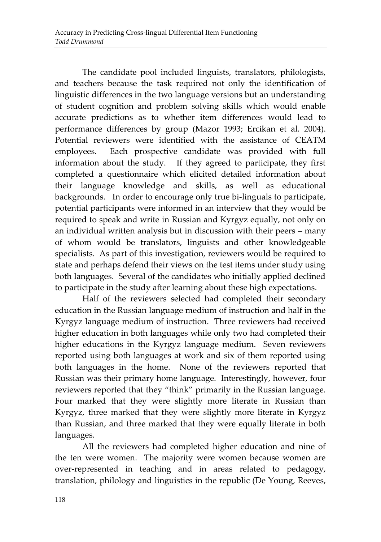The candidate pool included linguists, translators, philologists, and teachers because the task required not only the identification of linguistic differences in the two language versions but an understanding of student cognition and problem solving skills which would enable accurate predictions as to whether item differences would lead to performance differences by group (Mazor 1993; Ercikan et al. 2004). Potential reviewers were identified with the assistance of CEATM employees. Each prospective candidate was provided with full information about the study. If they agreed to participate, they first completed a questionnaire which elicited detailed information about their language knowledge and skills, as well as educational backgrounds. In order to encourage only true bi-linguals to participate, potential participants were informed in an interview that they would be required to speak and write in Russian and Kyrgyz equally, not only on an individual written analysis but in discussion with their peers – many of whom would be translators, linguists and other knowledgeable specialists. As part of this investigation, reviewers would be required to state and perhaps defend their views on the test items under study using both languages. Several of the candidates who initially applied declined to participate in the study after learning about these high expectations.

Half of the reviewers selected had completed their secondary education in the Russian language medium of instruction and half in the Kyrgyz language medium of instruction. Three reviewers had received higher education in both languages while only two had completed their higher educations in the Kyrgyz language medium. Seven reviewers reported using both languages at work and six of them reported using both languages in the home. None of the reviewers reported that Russian was their primary home language. Interestingly, however, four reviewers reported that they "think" primarily in the Russian language. Four marked that they were slightly more literate in Russian than Kyrgyz, three marked that they were slightly more literate in Kyrgyz than Russian, and three marked that they were equally literate in both languages.

All the reviewers had completed higher education and nine of the ten were women. The majority were women because women are over-represented in teaching and in areas related to pedagogy, translation, philology and linguistics in the republic (De Young, Reeves,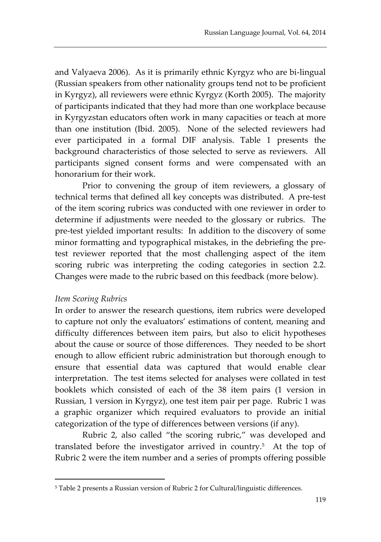and Valyaeva 2006). As it is primarily ethnic Kyrgyz who are bi-lingual (Russian speakers from other nationality groups tend not to be proficient in Kyrgyz), all reviewers were ethnic Kyrgyz (Korth 2005). The majority of participants indicated that they had more than one workplace because in Kyrgyzstan educators often work in many capacities or teach at more than one institution (Ibid. 2005). None of the selected reviewers had ever participated in a formal DIF analysis. Table 1 presents the background characteristics of those selected to serve as reviewers. All participants signed consent forms and were compensated with an honorarium for their work.

Prior to convening the group of item reviewers, a glossary of technical terms that defined all key concepts was distributed. A pre-test of the item scoring rubrics was conducted with one reviewer in order to determine if adjustments were needed to the glossary or rubrics. The pre-test yielded important results: In addition to the discovery of some minor formatting and typographical mistakes, in the debriefing the pretest reviewer reported that the most challenging aspect of the item scoring rubric was interpreting the coding categories in section 2.2. Changes were made to the rubric based on this feedback (more below).

#### *Item Scoring Rubrics*

 $\overline{\phantom{a}}$ 

In order to answer the research questions, item rubrics were developed to capture not only the evaluators' estimations of content, meaning and difficulty differences between item pairs, but also to elicit hypotheses about the cause or source of those differences. They needed to be short enough to allow efficient rubric administration but thorough enough to ensure that essential data was captured that would enable clear interpretation. The test items selected for analyses were collated in test booklets which consisted of each of the 38 item pairs (1 version in Russian, 1 version in Kyrgyz), one test item pair per page. Rubric 1 was a graphic organizer which required evaluators to provide an initial categorization of the type of differences between versions (if any).

Rubric 2, also called "the scoring rubric," was developed and translated before the investigator arrived in country.<sup>5</sup> At the top of Rubric 2 were the item number and a series of prompts offering possible

<sup>5</sup> Table 2 presents a Russian version of Rubric 2 for Cultural/linguistic differences.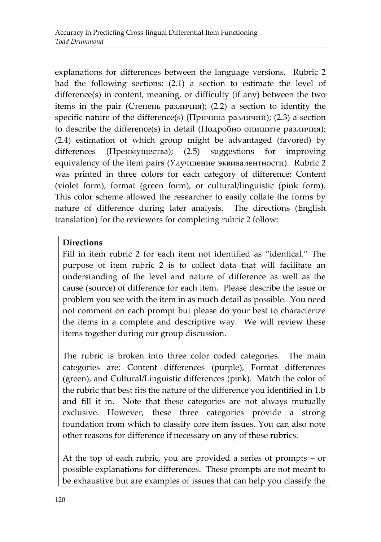explanations for differences between the language versions. Rubric 2 had the following sections: (2.1) a section to estimate the level of difference(s) in content, meaning, or difficulty (if any) between the two items in the pair (Степень различия); (2.2) a section to identify the specific nature of the difference(s) (Причина различий); (2.3) a section to describe the difference(s) in detail (Подробно опишите различия); (2.4) estimation of which group might be advantaged (favored) by differences (Преимущества); (2.5) suggestions for improving equivalency of the item pairs (Улучшение эквивалентности). Rubric 2 was printed in three colors for each category of difference: Content (violet form), format (green form), or cultural/linguistic (pink form). This color scheme allowed the researcher to easily collate the forms by nature of difference during later analysis. The directions (English translation) for the reviewers for completing rubric 2 follow:

### **Directions**

Fill in item rubric 2 for each item not identified as "identical." The purpose of item rubric 2 is to collect data that will facilitate an understanding of the level and nature of difference as well as the cause (source) of difference for each item. Please describe the issue or problem you see with the item in as much detail as possible. You need not comment on each prompt but please do your best to characterize the items in a complete and descriptive way. We will review these items together during our group discussion.

The rubric is broken into three color coded categories. The main categories are: Content differences (purple), Format differences (green), and Cultural/Linguistic differences (pink). Match the color of the rubric that best fits the nature of the difference you identified in 1.b and fill it in. Note that these categories are not always mutually exclusive. However, these three categories provide a strong foundation from which to classify core item issues. You can also note other reasons for difference if necessary on any of these rubrics.

At the top of each rubric, you are provided a series of prompts – or possible explanations for differences. These prompts are not meant to be exhaustive but are examples of issues that can help you classify the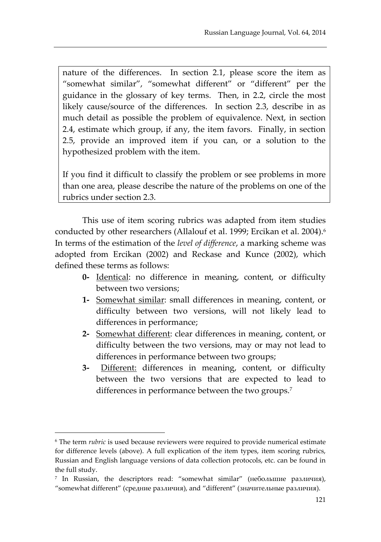nature of the differences. In section 2.1, please score the item as "somewhat similar", "somewhat different" or "different" per the guidance in the glossary of key terms. Then, in 2.2, circle the most likely cause/source of the differences. In section 2.3, describe in as much detail as possible the problem of equivalence. Next, in section 2.4, estimate which group, if any, the item favors. Finally, in section 2.5, provide an improved item if you can, or a solution to the hypothesized problem with the item.

If you find it difficult to classify the problem or see problems in more than one area, please describe the nature of the problems on one of the rubrics under section 2.3.

This use of item scoring rubrics was adapted from item studies conducted by other researchers (Allalouf et al. 1999; Ercikan et al. 2004).<sup>6</sup> In terms of the estimation of the *level of difference*, a marking scheme was adopted from Ercikan (2002) and Reckase and Kunce (2002), which defined these terms as follows:

- **0-** Identical: no difference in meaning, content, or difficulty between two versions;
- **1-** Somewhat similar: small differences in meaning, content, or difficulty between two versions, will not likely lead to differences in performance;
- **2-** Somewhat different: clear differences in meaning, content, or difficulty between the two versions, may or may not lead to differences in performance between two groups;
- **3-** Different: differences in meaning, content, or difficulty between the two versions that are expected to lead to differences in performance between the two groups.<sup>7</sup>

 $\overline{\phantom{a}}$ 

<sup>6</sup> The term *rubric* is used because reviewers were required to provide numerical estimate for difference levels (above). A full explication of the item types, item scoring rubrics, Russian and English language versions of data collection protocols, etc. can be found in the full study.

<sup>7</sup> In Russian, the descriptors read: "somewhat similar" (небольшие различия), "somewhat different" (средние различия), and "different" (значительные различия).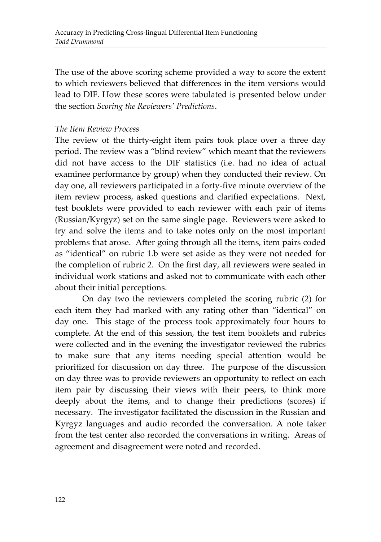The use of the above scoring scheme provided a way to score the extent to which reviewers believed that differences in the item versions would lead to DIF. How these scores were tabulated is presented below under the section *Scoring the Reviewers' Predictions*.

#### *The Item Review Process*

The review of the thirty-eight item pairs took place over a three day period. The review was a "blind review" which meant that the reviewers did not have access to the DIF statistics (i.e. had no idea of actual examinee performance by group) when they conducted their review. On day one, all reviewers participated in a forty-five minute overview of the item review process, asked questions and clarified expectations. Next, test booklets were provided to each reviewer with each pair of items (Russian/Kyrgyz) set on the same single page. Reviewers were asked to try and solve the items and to take notes only on the most important problems that arose. After going through all the items, item pairs coded as "identical" on rubric 1.b were set aside as they were not needed for the completion of rubric 2. On the first day, all reviewers were seated in individual work stations and asked not to communicate with each other about their initial perceptions.

On day two the reviewers completed the scoring rubric (2) for each item they had marked with any rating other than "identical" on day one. This stage of the process took approximately four hours to complete. At the end of this session, the test item booklets and rubrics were collected and in the evening the investigator reviewed the rubrics to make sure that any items needing special attention would be prioritized for discussion on day three. The purpose of the discussion on day three was to provide reviewers an opportunity to reflect on each item pair by discussing their views with their peers, to think more deeply about the items, and to change their predictions (scores) if necessary. The investigator facilitated the discussion in the Russian and Kyrgyz languages and audio recorded the conversation. A note taker from the test center also recorded the conversations in writing. Areas of agreement and disagreement were noted and recorded.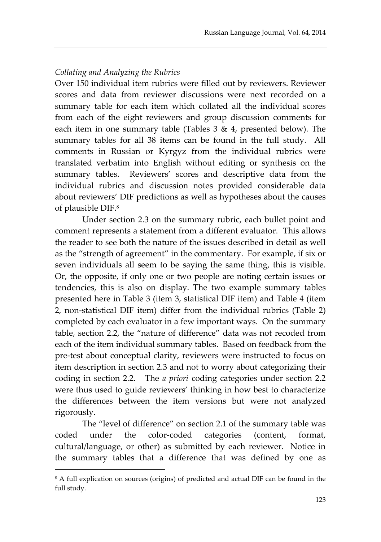### *Collating and Analyzing the Rubrics*

Over 150 individual item rubrics were filled out by reviewers. Reviewer scores and data from reviewer discussions were next recorded on a summary table for each item which collated all the individual scores from each of the eight reviewers and group discussion comments for each item in one summary table (Tables  $3 \& 4$ , presented below). The summary tables for all 38 items can be found in the full study. All comments in Russian or Kyrgyz from the individual rubrics were translated verbatim into English without editing or synthesis on the summary tables. Reviewers' scores and descriptive data from the individual rubrics and discussion notes provided considerable data about reviewers' DIF predictions as well as hypotheses about the causes of plausible DIF.<sup>8</sup>

Under section 2.3 on the summary rubric, each bullet point and comment represents a statement from a different evaluator. This allows the reader to see both the nature of the issues described in detail as well as the "strength of agreement" in the commentary. For example, if six or seven individuals all seem to be saying the same thing, this is visible. Or, the opposite, if only one or two people are noting certain issues or tendencies, this is also on display. The two example summary tables presented here in Table 3 (item 3, statistical DIF item) and Table 4 (item 2, non-statistical DIF item) differ from the individual rubrics (Table 2) completed by each evaluator in a few important ways. On the summary table, section 2.2, the "nature of difference" data was not recoded from each of the item individual summary tables. Based on feedback from the pre-test about conceptual clarity, reviewers were instructed to focus on item description in section 2.3 and not to worry about categorizing their coding in section 2.2. The *a priori* coding categories under section 2.2 were thus used to guide reviewers' thinking in how best to characterize the differences between the item versions but were not analyzed rigorously.

The "level of difference" on section 2.1 of the summary table was coded under the color-coded categories (content, format, cultural/language, or other) as submitted by each reviewer. Notice in the summary tables that a difference that was defined by one as

 $\overline{a}$ 

<sup>&</sup>lt;sup>8</sup> A full explication on sources (origins) of predicted and actual DIF can be found in the full study.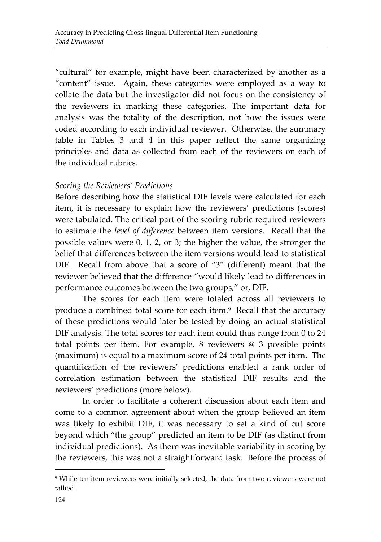"cultural" for example, might have been characterized by another as a "content" issue. Again, these categories were employed as a way to collate the data but the investigator did not focus on the consistency of the reviewers in marking these categories. The important data for analysis was the totality of the description, not how the issues were coded according to each individual reviewer. Otherwise, the summary table in Tables 3 and 4 in this paper reflect the same organizing principles and data as collected from each of the reviewers on each of the individual rubrics.

### *Scoring the Reviewers' Predictions*

Before describing how the statistical DIF levels were calculated for each item, it is necessary to explain how the reviewers' predictions (scores) were tabulated. The critical part of the scoring rubric required reviewers to estimate the *level of difference* between item versions. Recall that the possible values were 0, 1, 2, or 3; the higher the value, the stronger the belief that differences between the item versions would lead to statistical DIF. Recall from above that a score of "3" (different) meant that the reviewer believed that the difference "would likely lead to differences in performance outcomes between the two groups," or, DIF.

The scores for each item were totaled across all reviewers to produce a combined total score for each item.<sup>9</sup> Recall that the accuracy of these predictions would later be tested by doing an actual statistical DIF analysis. The total scores for each item could thus range from 0 to 24 total points per item. For example, 8 reviewers @ 3 possible points (maximum) is equal to a maximum score of 24 total points per item. The quantification of the reviewers' predictions enabled a rank order of correlation estimation between the statistical DIF results and the reviewers' predictions (more below).

In order to facilitate a coherent discussion about each item and come to a common agreement about when the group believed an item was likely to exhibit DIF, it was necessary to set a kind of cut score beyond which "the group" predicted an item to be DIF (as distinct from individual predictions). As there was inevitable variability in scoring by the reviewers, this was not a straightforward task. Before the process of

 $\overline{a}$ 

<sup>9</sup> While ten item reviewers were initially selected, the data from two reviewers were not tallied.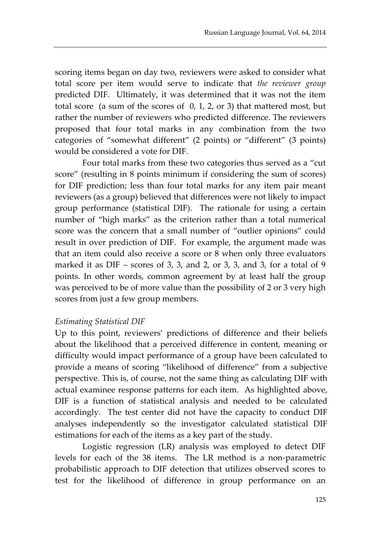scoring items began on day two, reviewers were asked to consider what total score per item would serve to indicate that *the reviewer group* predicted DIF. Ultimately, it was determined that it was not the item total score (a sum of the scores of 0, 1, 2, or 3) that mattered most, but rather the number of reviewers who predicted difference. The reviewers proposed that four total marks in any combination from the two categories of "somewhat different" (2 points) or "different" (3 points) would be considered a vote for DIF.

Four total marks from these two categories thus served as a "cut score" (resulting in 8 points minimum if considering the sum of scores) for DIF prediction; less than four total marks for any item pair meant reviewers (as a group) believed that differences were not likely to impact group performance (statistical DIF). The rationale for using a certain number of "high marks" as the criterion rather than a total numerical score was the concern that a small number of "outlier opinions" could result in over prediction of DIF. For example, the argument made was that an item could also receive a score or 8 when only three evaluators marked it as DIF – scores of 3, 3, and 2, or 3, 3, and 3, for a total of 9 points. In other words, common agreement by at least half the group was perceived to be of more value than the possibility of 2 or 3 very high scores from just a few group members.

### *Estimating Statistical DIF*

Up to this point, reviewers' predictions of difference and their beliefs about the likelihood that a perceived difference in content, meaning or difficulty would impact performance of a group have been calculated to provide a means of scoring "likelihood of difference" from a subjective perspective. This is, of course, not the same thing as calculating DIF with actual examinee response patterns for each item. As highlighted above, DIF is a function of statistical analysis and needed to be calculated accordingly. The test center did not have the capacity to conduct DIF analyses independently so the investigator calculated statistical DIF estimations for each of the items as a key part of the study.

Logistic regression (LR) analysis was employed to detect DIF levels for each of the 38 items. The LR method is a non-parametric probabilistic approach to DIF detection that utilizes observed scores to test for the likelihood of difference in group performance on an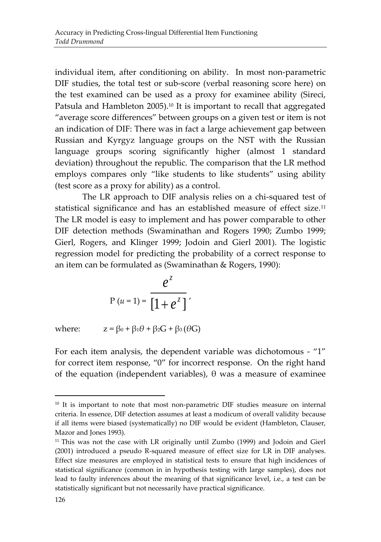individual item, after conditioning on ability. In most non-parametric DIF studies, the total test or sub-score (verbal reasoning score here) on the test examined can be used as a proxy for examinee ability (Sireci, Patsula and Hambleton 2005).<sup>10</sup> It is important to recall that aggregated "average score differences" between groups on a given test or item is not an indication of DIF: There was in fact a large achievement gap between Russian and Kyrgyz language groups on the NST with the Russian language groups scoring significantly higher (almost 1 standard deviation) throughout the republic. The comparison that the LR method employs compares only "like students to like students" using ability (test score as a proxy for ability) as a control.

The LR approach to DIF analysis relies on a chi-squared test of statistical significance and has an established measure of effect size.<sup>11</sup> The LR model is easy to implement and has power comparable to other DIF detection methods (Swaminathan and Rogers 1990; Zumbo 1999; Gierl, Rogers, and Klinger 1999; Jodoin and Gierl 2001). The logistic regression model for predicting the probability of a correct response to an item can be formulated as (Swaminathan & Rogers, 1990):

$$
P(u=1) = \frac{e^{z}}{\left[1+e^{z}\right]},
$$

where:  $z = \beta_0 + \beta_1 \theta + \beta_2 G + \beta_3 (\theta G)$ 

For each item analysis, the dependent variable was dichotomous - "1" for correct item response, "0" for incorrect response. On the right hand of the equation (independent variables), θ was a measure of examinee

 $\overline{a}$ 

<sup>&</sup>lt;sup>10</sup> It is important to note that most non-parametric DIF studies measure on internal criteria. In essence, DIF detection assumes at least a modicum of overall validity because if all items were biased (systematically) no DIF would be evident (Hambleton, Clauser, Mazor and Jones 1993).

<sup>&</sup>lt;sup>11</sup> This was not the case with LR originally until Zumbo (1999) and Jodoin and Gierl (2001) introduced a pseudo R-squared measure of effect size for LR in DIF analyses. Effect size measures are employed in statistical tests to ensure that high incidences of statistical significance (common in in hypothesis testing with large samples), does not lead to faulty inferences about the meaning of that significance level, i.e., a test can be statistically significant but not necessarily have practical significance.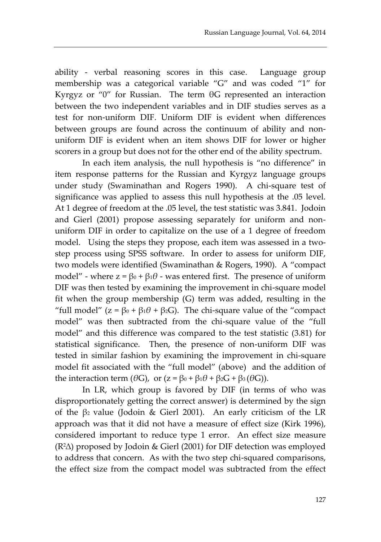ability - verbal reasoning scores in this case. Language group membership was a categorical variable "G" and was coded "1" for Kyrgyz or "0" for Russian. The term θG represented an interaction between the two independent variables and in DIF studies serves as a test for non-uniform DIF. Uniform DIF is evident when differences between groups are found across the continuum of ability and nonuniform DIF is evident when an item shows DIF for lower or higher scorers in a group but does not for the other end of the ability spectrum.

In each item analysis, the null hypothesis is "no difference" in item response patterns for the Russian and Kyrgyz language groups under study (Swaminathan and Rogers 1990). A chi-square test of significance was applied to assess this null hypothesis at the .05 level. At 1 degree of freedom at the .05 level, the test statistic was 3.841. Jodoin and Gierl (2001) propose assessing separately for uniform and nonuniform DIF in order to capitalize on the use of a 1 degree of freedom model. Using the steps they propose, each item was assessed in a twostep process using SPSS software. In order to assess for uniform DIF, two models were identified (Swaminathan & Rogers, 1990). A "compact model" - where  $z = β<sub>0</sub> + β<sub>1</sub>θ$  - was entered first. The presence of uniform DIF was then tested by examining the improvement in chi-square model fit when the group membership (G) term was added, resulting in the "full model"  $(z = \beta_0 + \beta_1 \theta + \beta_2 G)$ . The chi-square value of the "compact" model" was then subtracted from the chi-square value of the "full model" and this difference was compared to the test statistic (3.81) for statistical significance. Then, the presence of non-uniform DIF was tested in similar fashion by examining the improvement in chi-square model fit associated with the "full model" (above) and the addition of the interaction term ( $\theta$ G), or ( $z = \beta_0 + \beta_1 \theta + \beta_2 G + \beta_3 (\theta G)$ ).

In LR, which group is favored by DIF (in terms of who was disproportionately getting the correct answer) is determined by the sign of the β<sup>2</sup> value (Jodoin & Gierl 2001). An early criticism of the LR approach was that it did not have a measure of effect size (Kirk 1996), considered important to reduce type 1 error. An effect size measure (R2∆) proposed by Jodoin & Gierl (2001) for DIF detection was employed to address that concern. As with the two step chi-squared comparisons, the effect size from the compact model was subtracted from the effect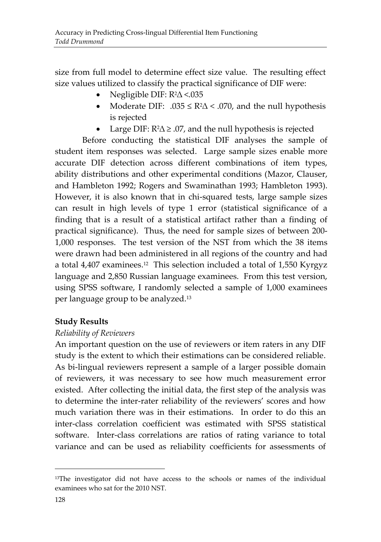size from full model to determine effect size value. The resulting effect size values utilized to classify the practical significance of DIF were:

- Negligible DIF: R2∆ <.035
- Moderate DIF:  $.035 \le R^2\Delta \le .070$ , and the null hypothesis is rejected
- Large DIF:  $R^2\Delta \geq .07$ , and the null hypothesis is rejected

Before conducting the statistical DIF analyses the sample of student item responses was selected. Large sample sizes enable more accurate DIF detection across different combinations of item types, ability distributions and other experimental conditions (Mazor, Clauser, and Hambleton 1992; Rogers and Swaminathan 1993; Hambleton 1993). However, it is also known that in chi-squared tests, large sample sizes can result in high levels of type 1 error (statistical significance of a finding that is a result of a statistical artifact rather than a finding of practical significance). Thus, the need for sample sizes of between 200- 1,000 responses. The test version of the NST from which the 38 items were drawn had been administered in all regions of the country and had a total 4,407 examinees. 12 This selection included a total of 1,550 Kyrgyz language and 2,850 Russian language examinees. From this test version, using SPSS software, I randomly selected a sample of 1,000 examinees per language group to be analyzed.<sup>13</sup>

### **Study Results**

### *Reliability of Reviewers*

An important question on the use of reviewers or item raters in any DIF study is the extent to which their estimations can be considered reliable. As bi-lingual reviewers represent a sample of a larger possible domain of reviewers, it was necessary to see how much measurement error existed. After collecting the initial data, the first step of the analysis was to determine the inter-rater reliability of the reviewers' scores and how much variation there was in their estimations. In order to do this an inter-class correlation coefficient was estimated with SPSS statistical software. Inter-class correlations are ratios of rating variance to total variance and can be used as reliability coefficients for assessments of

 $\overline{\phantom{a}}$ 

<sup>&</sup>lt;sup>13</sup>The investigator did not have access to the schools or names of the individual examinees who sat for the 2010 NST.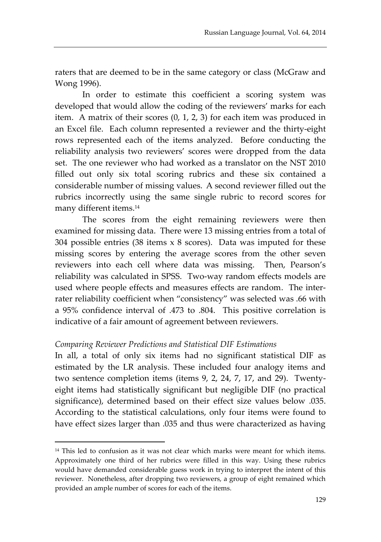raters that are deemed to be in the same category or class (McGraw and Wong 1996).

In order to estimate this coefficient a scoring system was developed that would allow the coding of the reviewers' marks for each item. A matrix of their scores (0, 1, 2, 3) for each item was produced in an Excel file. Each column represented a reviewer and the thirty-eight rows represented each of the items analyzed. Before conducting the reliability analysis two reviewers' scores were dropped from the data set. The one reviewer who had worked as a translator on the NST 2010 filled out only six total scoring rubrics and these six contained a considerable number of missing values. A second reviewer filled out the rubrics incorrectly using the same single rubric to record scores for many different items.<sup>14</sup>

The scores from the eight remaining reviewers were then examined for missing data. There were 13 missing entries from a total of 304 possible entries (38 items x 8 scores). Data was imputed for these missing scores by entering the average scores from the other seven reviewers into each cell where data was missing. Then, Pearson's reliability was calculated in SPSS. Two-way random effects models are used where people effects and measures effects are random.The interrater reliability coefficient when "consistency" was selected was .66 with a 95% confidence interval of .473 to .804. This positive correlation is indicative of a fair amount of agreement between reviewers.

#### *Comparing Reviewer Predictions and Statistical DIF Estimations*

 $\overline{\phantom{a}}$ 

In all, a total of only six items had no significant statistical DIF as estimated by the LR analysis. These included four analogy items and two sentence completion items (items 9, 2, 24, 7, 17, and 29). Twentyeight items had statistically significant but negligible DIF (no practical significance), determined based on their effect size values below .035. According to the statistical calculations, only four items were found to have effect sizes larger than .035 and thus were characterized as having

<sup>&</sup>lt;sup>14</sup> This led to confusion as it was not clear which marks were meant for which items. Approximately one third of her rubrics were filled in this way. Using these rubrics would have demanded considerable guess work in trying to interpret the intent of this reviewer. Nonetheless, after dropping two reviewers, a group of eight remained which provided an ample number of scores for each of the items.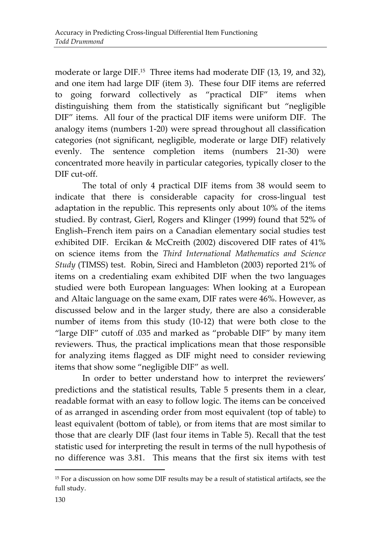moderate or large DIF.<sup>15</sup> Three items had moderate DIF (13, 19, and 32), and one item had large DIF (item 3). These four DIF items are referred to going forward collectively as "practical DIF" items when distinguishing them from the statistically significant but "negligible DIF" items. All four of the practical DIF items were uniform DIF. The analogy items (numbers 1-20) were spread throughout all classification categories (not significant, negligible, moderate or large DIF) relatively evenly. The sentence completion items (numbers 21-30) were concentrated more heavily in particular categories, typically closer to the DIF cut-off.

The total of only 4 practical DIF items from 38 would seem to indicate that there is considerable capacity for cross-lingual test adaptation in the republic. This represents only about 10% of the items studied. By contrast, Gierl, Rogers and Klinger (1999) found that 52% of English–French item pairs on a Canadian elementary social studies test exhibited DIF. Ercikan & McCreith (2002) discovered DIF rates of 41% on science items from the *Third International Mathematics and Science Study* (TIMSS) test. Robin, Sireci and Hambleton (2003) reported 21% of items on a credentialing exam exhibited DIF when the two languages studied were both European languages: When looking at a European and Altaic language on the same exam, DIF rates were 46%. However, as discussed below and in the larger study, there are also a considerable number of items from this study (10-12) that were both close to the "large DIF" cutoff of .035 and marked as "probable DIF" by many item reviewers. Thus, the practical implications mean that those responsible for analyzing items flagged as DIF might need to consider reviewing items that show some "negligible DIF" as well.

In order to better understand how to interpret the reviewers' predictions and the statistical results, Table 5 presents them in a clear, readable format with an easy to follow logic. The items can be conceived of as arranged in ascending order from most equivalent (top of table) to least equivalent (bottom of table), or from items that are most similar to those that are clearly DIF (last four items in Table 5). Recall that the test statistic used for interpreting the result in terms of the null hypothesis of no difference was 3.81. This means that the first six items with test

 $\overline{a}$ 

<sup>&</sup>lt;sup>15</sup> For a discussion on how some DIF results may be a result of statistical artifacts, see the full study.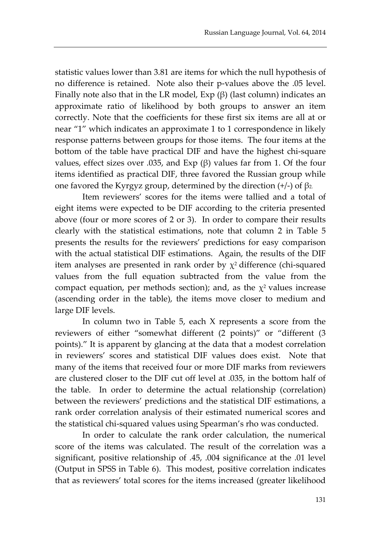statistic values lower than 3.81 are items for which the null hypothesis of no difference is retained. Note also their p-values above the .05 level. Finally note also that in the LR model,  $Exp(\beta)$  (last column) indicates an approximate ratio of likelihood by both groups to answer an item correctly. Note that the coefficients for these first six items are all at or near "1" which indicates an approximate 1 to 1 correspondence in likely response patterns between groups for those items. The four items at the bottom of the table have practical DIF and have the highest chi-square values, effect sizes over .035, and Exp (β) values far from 1. Of the four items identified as practical DIF, three favored the Russian group while one favored the Kyrgyz group, determined by the direction  $(+/-)$  of β2.

Item reviewers' scores for the items were tallied and a total of eight items were expected to be DIF according to the criteria presented above (four or more scores of 2 or 3). In order to compare their results clearly with the statistical estimations, note that column 2 in Table 5 presents the results for the reviewers' predictions for easy comparison with the actual statistical DIF estimations. Again, the results of the DIF item analyses are presented in rank order by  $\chi^2$  difference (chi-squared values from the full equation subtracted from the value from the compact equation, per methods section); and, as the  $\chi^2$  values increase (ascending order in the table), the items move closer to medium and large DIF levels.

In column two in Table 5, each X represents a score from the reviewers of either "somewhat different (2 points)" or "different (3 points)." It is apparent by glancing at the data that a modest correlation in reviewers' scores and statistical DIF values does exist. Note that many of the items that received four or more DIF marks from reviewers are clustered closer to the DIF cut off level at .035, in the bottom half of the table. In order to determine the actual relationship (correlation) between the reviewers' predictions and the statistical DIF estimations, a rank order correlation analysis of their estimated numerical scores and the statistical chi-squared values using Spearman's rho was conducted.

In order to calculate the rank order calculation, the numerical score of the items was calculated. The result of the correlation was a significant, positive relationship of .45, .004 significance at the .01 level (Output in SPSS in Table 6). This modest, positive correlation indicates that as reviewers' total scores for the items increased (greater likelihood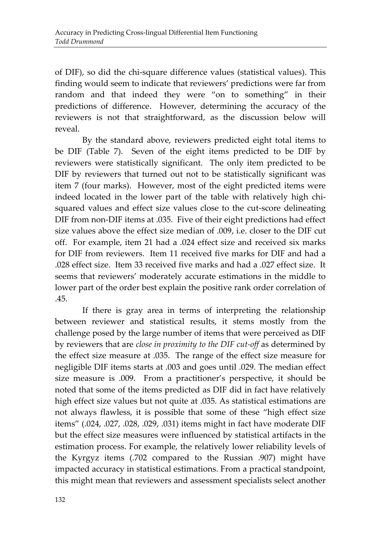of DIF), so did the chi-square difference values (statistical values). This finding would seem to indicate that reviewers' predictions were far from random and that indeed they were "on to something" in their predictions of difference. However, determining the accuracy of the reviewers is not that straightforward, as the discussion below will reveal.

By the standard above, reviewers predicted eight total items to be DIF (Table 7). Seven of the eight items predicted to be DIF by reviewers were statistically significant. The only item predicted to be DIF by reviewers that turned out not to be statistically significant was item 7 (four marks). However, most of the eight predicted items were indeed located in the lower part of the table with relatively high chisquared values and effect size values close to the cut-score delineating DIF from non-DIF items at .035. Five of their eight predictions had effect size values above the effect size median of .009, i.e. closer to the DIF cut off. For example, item 21 had a .024 effect size and received six marks for DIF from reviewers. Item 11 received five marks for DIF and had a .028 effect size. Item 33 received five marks and had a .027 effect size. It seems that reviewers' moderately accurate estimations in the middle to lower part of the order best explain the positive rank order correlation of .45.

If there is gray area in terms of interpreting the relationship between reviewer and statistical results, it stems mostly from the challenge posed by the large number of items that were perceived as DIF by reviewers that are *close in proximity to the DIF cut-off* as determined by the effect size measure at .035. The range of the effect size measure for negligible DIF items starts at .003 and goes until .029. The median effect size measure is .009. From a practitioner's perspective, it should be noted that some of the items predicted as DIF did in fact have relatively high effect size values but not quite at .035. As statistical estimations are not always flawless, it is possible that some of these "high effect size items" (.024, .027, .028, .029, .031) items might in fact have moderate DIF but the effect size measures were influenced by statistical artifacts in the estimation process. For example, the relatively lower reliability levels of the Kyrgyz items (.702 compared to the Russian .907) might have impacted accuracy in statistical estimations. From a practical standpoint, this might mean that reviewers and assessment specialists select another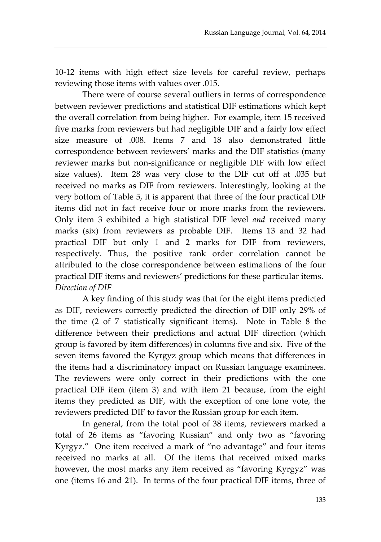10-12 items with high effect size levels for careful review, perhaps reviewing those items with values over .015.

There were of course several outliers in terms of correspondence between reviewer predictions and statistical DIF estimations which kept the overall correlation from being higher. For example, item 15 received five marks from reviewers but had negligible DIF and a fairly low effect size measure of .008. Items 7 and 18 also demonstrated little correspondence between reviewers' marks and the DIF statistics (many reviewer marks but non-significance or negligible DIF with low effect size values). Item 28 was very close to the DIF cut off at .035 but received no marks as DIF from reviewers. Interestingly, looking at the very bottom of Table 5, it is apparent that three of the four practical DIF items did not in fact receive four or more marks from the reviewers. Only item 3 exhibited a high statistical DIF level *and* received many marks (six) from reviewers as probable DIF. Items 13 and 32 had practical DIF but only 1 and 2 marks for DIF from reviewers, respectively. Thus, the positive rank order correlation cannot be attributed to the close correspondence between estimations of the four practical DIF items and reviewers' predictions for these particular items. *Direction of DIF*

A key finding of this study was that for the eight items predicted as DIF, reviewers correctly predicted the direction of DIF only 29% of the time (2 of 7 statistically significant items). Note in Table 8 the difference between their predictions and actual DIF direction (which group is favored by item differences) in columns five and six. Five of the seven items favored the Kyrgyz group which means that differences in the items had a discriminatory impact on Russian language examinees. The reviewers were only correct in their predictions with the one practical DIF item (item 3) and with item 21 because, from the eight items they predicted as DIF, with the exception of one lone vote, the reviewers predicted DIF to favor the Russian group for each item.

In general, from the total pool of 38 items, reviewers marked a total of 26 items as "favoring Russian" and only two as "favoring Kyrgyz." One item received a mark of "no advantage" and four items received no marks at all. Of the items that received mixed marks however, the most marks any item received as "favoring Kyrgyz" was one (items 16 and 21). In terms of the four practical DIF items, three of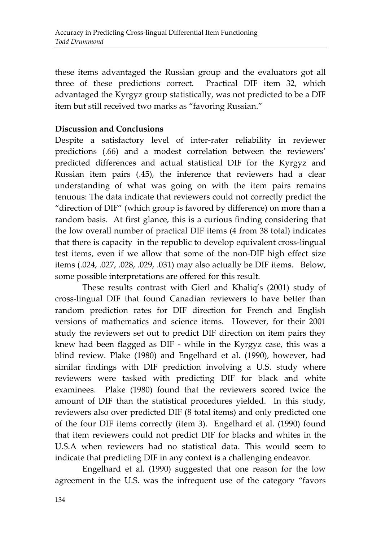these items advantaged the Russian group and the evaluators got all three of these predictions correct. Practical DIF item 32, which advantaged the Kyrgyz group statistically, was not predicted to be a DIF item but still received two marks as "favoring Russian."

### **Discussion and Conclusions**

Despite a satisfactory level of inter-rater reliability in reviewer predictions (.66) and a modest correlation between the reviewers' predicted differences and actual statistical DIF for the Kyrgyz and Russian item pairs (.45), the inference that reviewers had a clear understanding of what was going on with the item pairs remains tenuous: The data indicate that reviewers could not correctly predict the "direction of DIF" (which group is favored by difference) on more than a random basis. At first glance, this is a curious finding considering that the low overall number of practical DIF items (4 from 38 total) indicates that there is capacity in the republic to develop equivalent cross-lingual test items, even if we allow that some of the non-DIF high effect size items (.024, .027, .028, .029, .031) may also actually be DIF items. Below, some possible interpretations are offered for this result.

These results contrast with Gierl and Khaliq's (2001) study of cross-lingual DIF that found Canadian reviewers to have better than random prediction rates for DIF direction for French and English versions of mathematics and science items. However, for their 2001 study the reviewers set out to predict DIF direction on item pairs they knew had been flagged as DIF - while in the Kyrgyz case, this was a blind review. Plake (1980) and Engelhard et al. (1990), however, had similar findings with DIF prediction involving a U.S. study where reviewers were tasked with predicting DIF for black and white examinees. Plake (1980) found that the reviewers scored twice the amount of DIF than the statistical procedures yielded. In this study, reviewers also over predicted DIF (8 total items) and only predicted one of the four DIF items correctly (item 3). Engelhard et al. (1990) found that item reviewers could not predict DIF for blacks and whites in the U.S.A when reviewers had no statistical data. This would seem to indicate that predicting DIF in any context is a challenging endeavor.

Engelhard et al. (1990) suggested that one reason for the low agreement in the U.S. was the infrequent use of the category "favors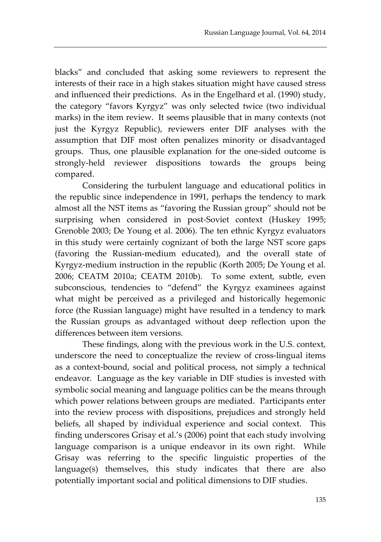blacks" and concluded that asking some reviewers to represent the interests of their race in a high stakes situation might have caused stress and influenced their predictions. As in the Engelhard et al. (1990) study, the category "favors Kyrgyz" was only selected twice (two individual marks) in the item review. It seems plausible that in many contexts (not just the Kyrgyz Republic), reviewers enter DIF analyses with the assumption that DIF most often penalizes minority or disadvantaged groups. Thus, one plausible explanation for the one-sided outcome is strongly-held reviewer dispositions towards the groups being compared.

Considering the turbulent language and educational politics in the republic since independence in 1991, perhaps the tendency to mark almost all the NST items as "favoring the Russian group" should not be surprising when considered in post-Soviet context (Huskey 1995; Grenoble 2003; De Young et al. 2006). The ten ethnic Kyrgyz evaluators in this study were certainly cognizant of both the large NST score gaps (favoring the Russian-medium educated), and the overall state of Kyrgyz-medium instruction in the republic (Korth 2005; De Young et al. 2006; CEATM 2010a; CEATM 2010b). To some extent, subtle, even subconscious, tendencies to "defend" the Kyrgyz examinees against what might be perceived as a privileged and historically hegemonic force (the Russian language) might have resulted in a tendency to mark the Russian groups as advantaged without deep reflection upon the differences between item versions.

These findings, along with the previous work in the U.S. context, underscore the need to conceptualize the review of cross-lingual items as a context-bound, social and political process, not simply a technical endeavor. Language as the key variable in DIF studies is invested with symbolic social meaning and language politics can be the means through which power relations between groups are mediated. Participants enter into the review process with dispositions, prejudices and strongly held beliefs, all shaped by individual experience and social context. This finding underscores Grisay et al.'s (2006) point that each study involving language comparison is a unique endeavor in its own right. While Grisay was referring to the specific linguistic properties of the language(s) themselves, this study indicates that there are also potentially important social and political dimensions to DIF studies.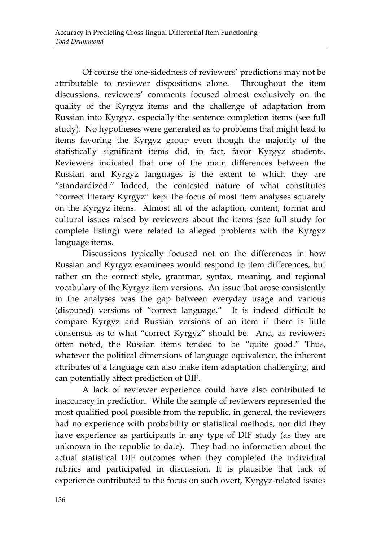Of course the one-sidedness of reviewers' predictions may not be attributable to reviewer dispositions alone. Throughout the item discussions, reviewers' comments focused almost exclusively on the quality of the Kyrgyz items and the challenge of adaptation from Russian into Kyrgyz, especially the sentence completion items (see full study). No hypotheses were generated as to problems that might lead to items favoring the Kyrgyz group even though the majority of the statistically significant items did, in fact, favor Kyrgyz students. Reviewers indicated that one of the main differences between the Russian and Kyrgyz languages is the extent to which they are "standardized." Indeed, the contested nature of what constitutes "correct literary Kyrgyz" kept the focus of most item analyses squarely on the Kyrgyz items. Almost all of the adaption, content, format and cultural issues raised by reviewers about the items (see full study for complete listing) were related to alleged problems with the Kyrgyz language items.

Discussions typically focused not on the differences in how Russian and Kyrgyz examinees would respond to item differences, but rather on the correct style, grammar, syntax, meaning, and regional vocabulary of the Kyrgyz item versions. An issue that arose consistently in the analyses was the gap between everyday usage and various (disputed) versions of "correct language." It is indeed difficult to compare Kyrgyz and Russian versions of an item if there is little consensus as to what "correct Kyrgyz" should be. And, as reviewers often noted, the Russian items tended to be "quite good." Thus, whatever the political dimensions of language equivalence, the inherent attributes of a language can also make item adaptation challenging, and can potentially affect prediction of DIF.

A lack of reviewer experience could have also contributed to inaccuracy in prediction. While the sample of reviewers represented the most qualified pool possible from the republic, in general, the reviewers had no experience with probability or statistical methods, nor did they have experience as participants in any type of DIF study (as they are unknown in the republic to date). They had no information about the actual statistical DIF outcomes when they completed the individual rubrics and participated in discussion. It is plausible that lack of experience contributed to the focus on such overt, Kyrgyz-related issues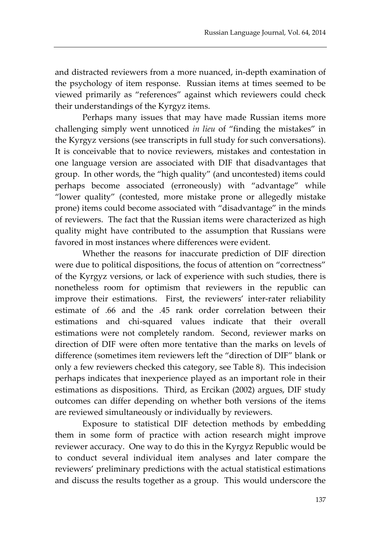and distracted reviewers from a more nuanced, in-depth examination of the psychology of item response. Russian items at times seemed to be viewed primarily as "references" against which reviewers could check their understandings of the Kyrgyz items.

Perhaps many issues that may have made Russian items more challenging simply went unnoticed *in lieu* of "finding the mistakes" in the Kyrgyz versions (see transcripts in full study for such conversations). It is conceivable that to novice reviewers, mistakes and contestation in one language version are associated with DIF that disadvantages that group. In other words, the "high quality" (and uncontested) items could perhaps become associated (erroneously) with "advantage" while "lower quality" (contested, more mistake prone or allegedly mistake prone) items could become associated with "disadvantage" in the minds of reviewers. The fact that the Russian items were characterized as high quality might have contributed to the assumption that Russians were favored in most instances where differences were evident.

Whether the reasons for inaccurate prediction of DIF direction were due to political dispositions, the focus of attention on "correctness" of the Kyrgyz versions, or lack of experience with such studies, there is nonetheless room for optimism that reviewers in the republic can improve their estimations. First, the reviewers' inter-rater reliability estimate of .66 and the .45 rank order correlation between their estimations and chi-squared values indicate that their overall estimations were not completely random. Second, reviewer marks on direction of DIF were often more tentative than the marks on levels of difference (sometimes item reviewers left the "direction of DIF" blank or only a few reviewers checked this category, see Table 8). This indecision perhaps indicates that inexperience played as an important role in their estimations as dispositions. Third, as Ercikan (2002) argues, DIF study outcomes can differ depending on whether both versions of the items are reviewed simultaneously or individually by reviewers.

Exposure to statistical DIF detection methods by embedding them in some form of practice with action research might improve reviewer accuracy. One way to do this in the Kyrgyz Republic would be to conduct several individual item analyses and later compare the reviewers' preliminary predictions with the actual statistical estimations and discuss the results together as a group. This would underscore the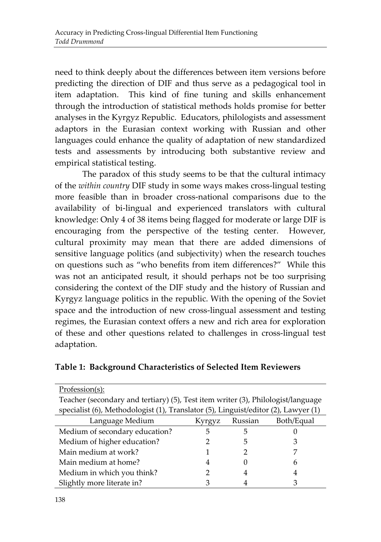need to think deeply about the differences between item versions before predicting the direction of DIF and thus serve as a pedagogical tool in item adaptation. This kind of fine tuning and skills enhancement through the introduction of statistical methods holds promise for better analyses in the Kyrgyz Republic. Educators, philologists and assessment adaptors in the Eurasian context working with Russian and other languages could enhance the quality of adaptation of new standardized tests and assessments by introducing both substantive review and empirical statistical testing.

The paradox of this study seems to be that the cultural intimacy of the *within country* DIF study in some ways makes cross-lingual testing more feasible than in broader cross-national comparisons due to the availability of bi-lingual and experienced translators with cultural knowledge: Only 4 of 38 items being flagged for moderate or large DIF is encouraging from the perspective of the testing center. However, cultural proximity may mean that there are added dimensions of sensitive language politics (and subjectivity) when the research touches on questions such as "who benefits from item differences?" While this was not an anticipated result, it should perhaps not be too surprising considering the context of the DIF study and the history of Russian and Kyrgyz language politics in the republic. With the opening of the Soviet space and the introduction of new cross-lingual assessment and testing regimes, the Eurasian context offers a new and rich area for exploration of these and other questions related to challenges in cross-lingual test adaptation.

|  |  |  |  | Table 1: Background Characteristics of Selected Item Reviewers |
|--|--|--|--|----------------------------------------------------------------|
|--|--|--|--|----------------------------------------------------------------|

| Profession(s):                                                                     |   |   |   |  |  |  |
|------------------------------------------------------------------------------------|---|---|---|--|--|--|
| Teacher (secondary and tertiary) (5), Test item writer (3), Philologist/language   |   |   |   |  |  |  |
| specialist (6), Methodologist (1), Translator (5), Linguist/editor (2), Lawyer (1) |   |   |   |  |  |  |
| Language Medium<br>Both/Equal<br>Russian<br>Kyrgyz                                 |   |   |   |  |  |  |
| Medium of secondary education?                                                     | 5 | 5 |   |  |  |  |
| Medium of higher education?                                                        |   | 5 | З |  |  |  |
| Main medium at work?                                                               |   |   |   |  |  |  |
| Main medium at home?                                                               | 4 |   | 6 |  |  |  |
| Medium in which you think?                                                         |   | 4 | 4 |  |  |  |
| Slightly more literate in?                                                         |   |   |   |  |  |  |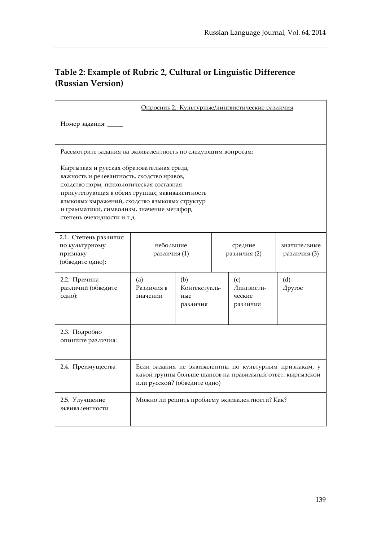# **Table 2: Example of Rubric 2, Cultural or Linguistic Difference (Russian Version)**

| Опросник 2. Культурные/лингвистические различия                                                                                                                                                                                                                                                                       |                                                                                                                                                       |                                         |                         |                                                |                              |
|-----------------------------------------------------------------------------------------------------------------------------------------------------------------------------------------------------------------------------------------------------------------------------------------------------------------------|-------------------------------------------------------------------------------------------------------------------------------------------------------|-----------------------------------------|-------------------------|------------------------------------------------|------------------------------|
| Номер задания: _____                                                                                                                                                                                                                                                                                                  |                                                                                                                                                       |                                         |                         |                                                |                              |
| Рассмотрите задания на эквивалентность по следующим вопросам:                                                                                                                                                                                                                                                         |                                                                                                                                                       |                                         |                         |                                                |                              |
| Кыргызкая и русская образовательная среда,<br>важность и релевантность, сходство нравов,<br>сходство норм, психологическая составная<br>присутствующая в обеих группах, эквивалентность<br>языковых выражений, сходство языковых структур<br>и грамматики, символизм, значение метафор,<br>степень очевидности и т.д. |                                                                                                                                                       |                                         |                         |                                                |                              |
| 2.1. Степень различия<br>по культурному<br>признаку<br>(обведите одно):                                                                                                                                                                                                                                               | небольшие<br>различия (1)                                                                                                                             |                                         | средние<br>различия (2) |                                                | значительные<br>различия (3) |
| 2.2. Причина<br>различий (обведите<br>одно):                                                                                                                                                                                                                                                                          | (a)<br>Различия в<br>значении                                                                                                                         | (b)<br>Контекстуаль-<br>ные<br>различия |                         | (c)<br>Лингвисти-<br>ческие<br>различия        | (d)<br>Apyroe                |
| 2.3. Подробно<br>опишите различия:                                                                                                                                                                                                                                                                                    |                                                                                                                                                       |                                         |                         |                                                |                              |
| 2.4. Преимущества                                                                                                                                                                                                                                                                                                     | Если задания не эквивалентны по культурным признакам, у<br>какой группы больше шансов на правильный ответ: кыргызской<br>или русской? (обведите одно) |                                         |                         |                                                |                              |
| 2.5. Улучшение<br>эквивалентности                                                                                                                                                                                                                                                                                     |                                                                                                                                                       |                                         |                         | Можно ли решить проблему эквивалентности? Как? |                              |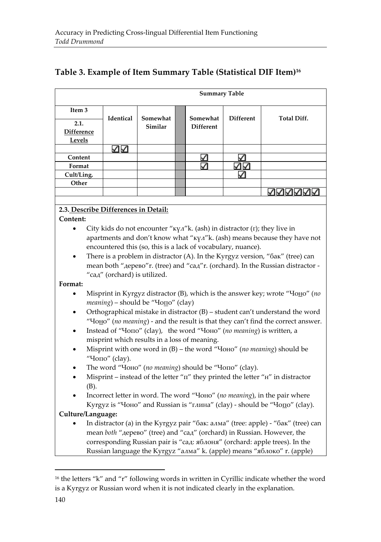### **Table 3. Example of Item Summary Table (Statistical DIF Item)<sup>16</sup>**

|                                     | <b>Summary Table</b> |          |  |                  |                  |                    |  |
|-------------------------------------|----------------------|----------|--|------------------|------------------|--------------------|--|
| Item <sub>3</sub>                   | Identical            | Somewhat |  | Somewhat         | <b>Different</b> | <b>Total Diff.</b> |  |
| 2.1.<br><b>Difference</b><br>Levels |                      | Similar  |  | <b>Different</b> |                  |                    |  |
|                                     |                      |          |  |                  |                  |                    |  |
| Content                             |                      |          |  |                  |                  |                    |  |
| Format                              |                      |          |  |                  |                  |                    |  |
| Cult/Ling.                          |                      |          |  |                  |                  |                    |  |
| Other                               |                      |          |  |                  |                  |                    |  |
|                                     |                      |          |  |                  |                  |                    |  |

#### **2.3. Describe Differences in Detail:**

#### **Content:**

- City kids do not encounter ["кү](http://en.wikipedia.org/wiki/%D0%9A)[л"](http://en.wikipedia.org/wiki/%D0%9B)k. (ash) in distractor [\(г](http://en.wikipedia.org/wiki/%D0%93)); they live in apartments and don't know what ["кү](http://en.wikipedia.org/wiki/%D0%9A)[л"](http://en.wikipedia.org/wiki/%D0%9B)k. (ash) means because they have not encountered this (so, this is a lack of vocabulary, nuance).
- There is a problem in distractor (A). In the Kyrgyz version, ["ба](http://en.wikipedia.org/wiki/%D0%91)[к"](http://en.wikipedia.org/wiki/%D0%9A) (tree) can mean both "дерево"r. (tree) and "сад"r. (orchard). In the Russian distractor - "сад" (orchard) is utilized.

#### **Format:**

- Misprint in Kyrgyz distractor (B), which is the answer key; wrote "Чоно" (*no meaning*) – should be "Чопо" (clay)
- Orthographical mistake in distractor (B) student can't understand the word "Чоно" (*no meaning*) - and the result is that they can't find the correct answer.
- Instead of "Чопо" (clay), the word "Чоно" (*no meaning*) is written, a misprint which results in a loss of meaning.
- Misprint with one word in (B) the word "Чоно" (*no meaning*) should be "Чопо" (clay).
- The word "Чоно" (*no meaning*) should be "Чопо" (clay).
- Misprint instead of the letter " $\pi$ " they printed the letter " $H$ " in distractor (B).
- Incorrect letter in word. The word "Чоно" (*no meaning*), in the pair where Kyrgyz is "Чоно" and Russian is "глина" (clay) - should be "Чопо" (clay).

#### **Culture/Language:**

 In distractor (a) in the Kyrgyz pair ["ба](http://en.wikipedia.org/wiki/%D0%91)[к](http://en.wikipedia.org/wiki/%D0%9A): [ал](http://en.wikipedia.org/wiki/%D0%90)[ма"](http://en.wikipedia.org/wiki/%D0%9C) (tree: apple) - ["ба](http://en.wikipedia.org/wiki/%D0%91)[к"](http://en.wikipedia.org/wiki/%D0%9A) (tree) can mean *both* "дерево" (tree) and "сад" (orchard) in Russian. However, the corresponding Russian pair is "сад: яблоня" (orchard: apple trees). In the Russian language the Kyrgyz ["ал](http://en.wikipedia.org/wiki/%D0%90)[ма"](http://en.wikipedia.org/wiki/%D0%9C) k. (apple) means "яблоко" r. (apple)

 $\overline{a}$ 

<sup>&</sup>lt;sup>16</sup> the letters "k" and "r" following words in written in Cyrillic indicate whether the word is a Kyrgyz or Russian word when it is not indicated clearly in the explanation.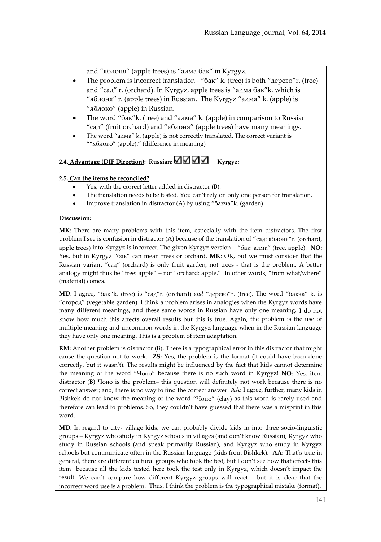and "яблоня" (apple trees) is ["ал](http://en.wikipedia.org/wiki/%D0%90)[ма](http://en.wikipedia.org/wiki/%D0%9C) [ба](http://en.wikipedia.org/wiki/%D0%91)[к"](http://en.wikipedia.org/wiki/%D0%9A) in Kyrgyz.

- The problem is incorrect translation ["ба](http://en.wikipedia.org/wiki/%D0%91)[к"](http://en.wikipedia.org/wiki/%D0%9A) k. (tree) is both "дерево"r. (tree) and "сад" r. (orchard). In Kyrgyz, apple trees is ["ал](http://en.wikipedia.org/wiki/%D0%90)[ма](http://en.wikipedia.org/wiki/%D0%9C) [ба](http://en.wikipedia.org/wiki/%D0%91)[к"](http://en.wikipedia.org/wiki/%D0%9A)k. which is "яблоня" r. (apple trees) in Russian. The Kyrgyz ["ал](http://en.wikipedia.org/wiki/%D0%90)[ма"](http://en.wikipedia.org/wiki/%D0%9C) k. (apple) is "яблоко" (apple) in Russian.
- The word ["ба](http://en.wikipedia.org/wiki/%D0%91)[к"](http://en.wikipedia.org/wiki/%D0%9A)k. (tree) and ["ал](http://en.wikipedia.org/wiki/%D0%90)[ма"](http://en.wikipedia.org/wiki/%D0%9C) k. (apple) in comparison to Russian "сад" (fruit orchard) and "яблоня" (apple trees) have many meanings.
- The word ["ал](http://en.wikipedia.org/wiki/%D0%90)[ма"](http://en.wikipedia.org/wiki/%D0%9C) k. (apple) is not correctly translated. The correct variant is ""яблоко" (apple)." (difference in meaning)

#### 2.4. **Advantage** (DIF Direction): Russian:  $\Delta\Delta\Delta$  Kyrgyz:

#### **2.5. Can the items be reconciled?**

- Yes, with the correct letter added in distractor (B).
- The translation needs to be tested. You can't rely on only one person for translation.
- Improve translation in distractor (A) by using ["ба](http://en.wikipedia.org/wiki/%D0%91)[кч](http://en.wikipedia.org/wiki/%D0%9A)[а"](http://en.wikipedia.org/wiki/%D0%90)k. (garden)

#### **Discussion:**

**MK**: There are many problems with this item, especially with the item distractors. The first problem I see is confusion in distractor (A) because of the translation of "сад: яблоня"r. (orchard, apple trees) into Kyrgyz is incorrect. The given Kyrgyz version – ["ба](http://en.wikipedia.org/wiki/%D0%91)[к](http://en.wikipedia.org/wiki/%D0%9A): [ал](http://en.wikipedia.org/wiki/%D0%90)[ма"](http://en.wikipedia.org/wiki/%D0%9C) (tree, apple). **NO**: Yes, but in Kyrgyz ["ба](http://en.wikipedia.org/wiki/%D0%91)[к"](http://en.wikipedia.org/wiki/%D0%9A) can mean trees or orchard. **MK**: OK, but we must consider that the Russian variant "сад" (orchard) is only fruit garden, not trees - that is the problem. A better analogy might thus be "tree: apple" – not "orchard: apple." In other words, "from what/where" (material) comes.

**MD**: I agree, ["ба](http://en.wikipedia.org/wiki/%D0%91)[к"](http://en.wikipedia.org/wiki/%D0%9A)k. (tree) is "сад"r. (orchard) *and* **"**дерево"r. (tree). The word ["ба](http://en.wikipedia.org/wiki/%D0%91)[кч](http://en.wikipedia.org/wiki/%D0%9A)[а"](http://en.wikipedia.org/wiki/%D0%90) k. is "огород" (vegetable garden). I think a problem arises in analogies when the Kyrgyz words have many different meanings, and these same words in Russian have only one meaning. I do not know how much this affects overall results but this is true. Again, the problem is the use of multiple meaning and uncommon words in the Kyrgyz language when in the Russian language they have only one meaning. This is a problem of item adaptation.

**RM**: Another problem is distractor (B). There is a typographical error in this distractor that might cause the question not to work. **ZS:** Yes, the problem is the format (it could have been done correctly, but it wasn't). The results might be influenced by the fact that kids cannot determine the meaning of the word "Чоно" because there is no such word in Kyrgyz! **NO**: Yes, item distractor (B) Чоно is the problem– this question will definitely not work because there is no correct answer; and, there is no way to find the correct answer. AA: I agree, further, many kids in Bishkek do not know the meaning of the word "Чопо" (clay) as this word is rarely used and therefore can lead to problems. So, they couldn't have guessed that there was a misprint in this word.

**MD**: In regard to city- village kids, we can probably divide kids in into three socio-linguistic groups – Kyrgyz who study in Kyrgyz schools in villages (and don't know Russian), Kyrgyz who study in Russian schools (and speak primarily Russian), and Kyrgyz who study in Kyrgyz schools but communicate often in the Russian language (kids from Bishkek). **AA:** That's true in general, there are different cultural groups who took the test, but I don't see how that effects this item because all the kids tested here took the test only in Kyrgyz, which doesn't impact the result. We can't compare how different Kyrgyz groups will react… but it is clear that the incorrect word use is a problem. Thus, I think the problem is the typographical mistake (format).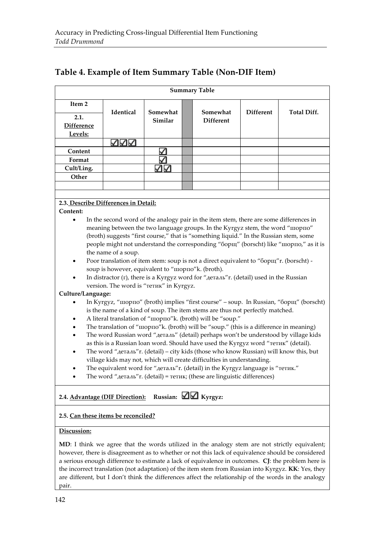### **Table 4. Example of Item Summary Table (Non-DIF Item)**

| <b>Summary Table</b>                                                                         |                                                                                                                                       |                     |  |                                                                                        |                  |                                                                                       |  |
|----------------------------------------------------------------------------------------------|---------------------------------------------------------------------------------------------------------------------------------------|---------------------|--|----------------------------------------------------------------------------------------|------------------|---------------------------------------------------------------------------------------|--|
| Item 2                                                                                       |                                                                                                                                       |                     |  |                                                                                        |                  |                                                                                       |  |
| 2.1.                                                                                         | Identical                                                                                                                             | Somewhat<br>Similar |  | Somewhat<br><b>Different</b>                                                           | <b>Different</b> | Total Diff.                                                                           |  |
| <b>Difference</b>                                                                            |                                                                                                                                       |                     |  |                                                                                        |                  |                                                                                       |  |
| Levels:                                                                                      |                                                                                                                                       |                     |  |                                                                                        |                  |                                                                                       |  |
|                                                                                              | ノハイ                                                                                                                                   |                     |  |                                                                                        |                  |                                                                                       |  |
| Content                                                                                      |                                                                                                                                       |                     |  |                                                                                        |                  |                                                                                       |  |
| Format                                                                                       |                                                                                                                                       |                     |  |                                                                                        |                  |                                                                                       |  |
| Cult/Ling.                                                                                   |                                                                                                                                       | ✓∨                  |  |                                                                                        |                  |                                                                                       |  |
| Other                                                                                        |                                                                                                                                       |                     |  |                                                                                        |                  |                                                                                       |  |
|                                                                                              |                                                                                                                                       |                     |  |                                                                                        |                  |                                                                                       |  |
|                                                                                              |                                                                                                                                       |                     |  |                                                                                        |                  |                                                                                       |  |
| 2.3. Describe Differences in Detail:                                                         |                                                                                                                                       |                     |  |                                                                                        |                  |                                                                                       |  |
| Content:                                                                                     |                                                                                                                                       |                     |  |                                                                                        |                  |                                                                                       |  |
|                                                                                              |                                                                                                                                       |                     |  | In the second word of the analogy pair in the item stem, there are some differences in |                  |                                                                                       |  |
|                                                                                              |                                                                                                                                       |                     |  | meaning between the two language groups. In the Kyrgyz stem, the word "шорпо"          |                  |                                                                                       |  |
|                                                                                              |                                                                                                                                       |                     |  | (broth) suggests "first course," that is "something liquid." In the Russian stem, some |                  |                                                                                       |  |
|                                                                                              |                                                                                                                                       |                     |  |                                                                                        |                  | people might not understand the corresponding "борщ" (borscht) like "шорпо," as it is |  |
|                                                                                              | the name of a soup.                                                                                                                   |                     |  |                                                                                        |                  |                                                                                       |  |
| Poor translation of item stem: soup is not a direct equivalent to "борщ" r. (borscht) -<br>٠ |                                                                                                                                       |                     |  |                                                                                        |                  |                                                                                       |  |
|                                                                                              | soup is however, equivalent to "шорпо"k. (broth).                                                                                     |                     |  |                                                                                        |                  |                                                                                       |  |
|                                                                                              | In distractor (r), there is a Kyrgyz word for " $AeraxB$ " r. (detail) used in the Russian<br>version. The word is "тетик" in Kyrgyz. |                     |  |                                                                                        |                  |                                                                                       |  |
| Culture/Language:                                                                            |                                                                                                                                       |                     |  |                                                                                        |                  |                                                                                       |  |
|                                                                                              |                                                                                                                                       |                     |  |                                                                                        |                  | In Kyrovz "Honno" (broth) implies "first course" – soun. In Russian "60pm" (borscht)  |  |

- In Kyrgyz, "шорпо" (broth) implies "first course" soup. In Russian, "борщ" is the name of a kind of soup. The item stems are thus not perfectly matched.
- A literal translation of "шорпо"k. (broth) will be "soup."
- The translation of "шорпо"k. (broth) will be "soup." (this is a difference in meaning)
- The word Russian word "деталь" (detail) perhaps won't be understood by village kids as this is a Russian loan word. Should have used the Kyrgyz word ["тети](http://en.wikipedia.org/wiki/%D0%A2)[к"](http://en.wikipedia.org/wiki/%D0%9A) (detail).
- The word "деталь"r. (detail) city kids (those who know Russian) will know this, but village kids may not, which will create difficulties in understanding.
- The equivalent word for "деталь"r. (detail) in the Kyrgyz language is ["тети](http://en.wikipedia.org/wiki/%D0%A2)[к."](http://en.wikipedia.org/wiki/%D0%9A)
- The word "деталь"r. (detail) = [тети](http://en.wikipedia.org/wiki/%D0%A2)[к](http://en.wikipedia.org/wiki/%D0%9A); (these are linguistic differences)

# 2.4. Advantage (DIF Direction): Russian:  $\Box$  Kyrgyz:

#### **2.5. Can these items be reconciled?**

#### **Discussion:**

**MD**: I think we agree that the words utilized in the analogy stem are not strictly equivalent; however, there is disagreement as to whether or not this lack of equivalence should be considered a serious enough difference to estimate a lack of equivalence in outcomes. **CJ**: the problem here is the incorrect translation (not adaptation) of the item stem from Russian into Kyrgyz. **KK**: Yes, they are different, but I don't think the differences affect the relationship of the words in the analogy pair.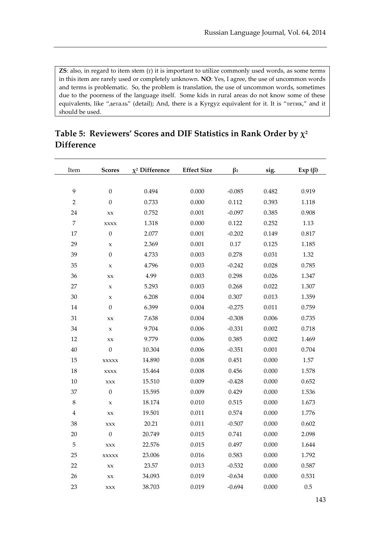ZS: also, in regard to item stem (r) it is important to utilize commonly used words, as some terms in this item are rarely used or completely unknown. **NO**: Yes, I agree, the use of uncommon words and terms is problematic. So, the problem is translation, the use of uncommon words, sometimes due to the poorness of the language itself. Some kids in rural areas do not know some of these equivalents, like "деталь" (detail); And, there is a Kyrgyz equivalent for it. It is ["тети](http://en.wikipedia.org/wiki/%D0%A2)[к,](http://en.wikipedia.org/wiki/%D0%9A)" and it should be used.

| Item           | <b>Scores</b>    | $\chi^2$ Difference | <b>Effect Size</b> | $\beta_2$ | sig.  | $Exp( \beta)$ |
|----------------|------------------|---------------------|--------------------|-----------|-------|---------------|
|                |                  |                     |                    |           |       |               |
| 9              | $\boldsymbol{0}$ | 0.494               | 0.000              | $-0.085$  | 0.482 | 0.919         |
| $\overline{2}$ | $\boldsymbol{0}$ | 0.733               | 0.000              | 0.112     | 0.393 | 1.118         |
| 24             | <b>XX</b>        | 0.752               | 0.001              | $-0.097$  | 0.385 | 0.908         |
| 7              | <b>XXXX</b>      | 1.318               | 0.000              | 0.122     | 0.252 | 1.13          |
| 17             | $\boldsymbol{0}$ | 2.077               | 0.001              | $-0.202$  | 0.149 | 0.817         |
| 29             | X                | 2.369               | 0.001              | 0.17      | 0.125 | 1.185         |
| 39             | $\boldsymbol{0}$ | 4.733               | 0.003              | 0.278     | 0.031 | 1.32          |
| 35             | $\mathsf X$      | 4.796               | 0.003              | $-0.242$  | 0.028 | 0.785         |
| 36             | XX               | 4.99                | 0.003              | 0.298     | 0.026 | 1.347         |
| 27             | $\mathsf x$      | 5.293               | 0.003              | 0.268     | 0.022 | 1.307         |
| 30             | x                | 6.208               | 0.004              | 0.307     | 0.013 | 1.359         |
| 14             | $\boldsymbol{0}$ | 6.399               | 0.004              | $-0.275$  | 0.011 | 0.759         |
| 31             | XX               | 7.638               | 0.004              | $-0.308$  | 0.006 | 0.735         |
| 34             | $\mathsf X$      | 9.704               | 0.006              | $-0.331$  | 0.002 | 0.718         |
| 12             | XX               | 9.779               | 0.006              | 0.385     | 0.002 | 1.469         |
| 40             | $\boldsymbol{0}$ | 10.304              | 0.006              | $-0.351$  | 0.001 | 0.704         |
| 15             | <b>XXXXX</b>     | 14.890              | 0.008              | 0.451     | 0.000 | 1.57          |
| 18             | <b>XXXX</b>      | 15.464              | 0.008              | 0.456     | 0.000 | 1.578         |
| 10             | $\mathbf{XXX}$   | 15.510              | 0.009              | $-0.428$  | 0.000 | 0.652         |
| 37             | $\boldsymbol{0}$ | 15.595              | 0.009              | 0.429     | 0.000 | 1.536         |
| $\,8\,$        | $\mathsf x$      | 18.174              | 0.010              | 0.515     | 0.000 | 1.673         |
| 4              | XX               | 19.501              | 0.011              | 0.574     | 0.000 | 1.776         |
| 38             | XXX              | 20.21               | 0.011              | $-0.507$  | 0.000 | 0.602         |
| 20             | $\boldsymbol{0}$ | 20.749              | 0.015              | 0.741     | 0.000 | 2.098         |
| 5              | XXX              | 22.576              | 0.015              | 0.497     | 0.000 | 1.644         |
| 25             | <b>XXXXX</b>     | 23.006              | 0.016              | 0.583     | 0.000 | 1.792         |
| 22             | <b>XX</b>        | 23.57               | 0.013              | $-0.532$  | 0.000 | 0.587         |
| 26             | XX               | 34.093              | 0.019              | $-0.634$  | 0.000 | 0.531         |
| 23             | <b>XXX</b>       | 38.703              | 0.019              | $-0.694$  | 0.000 | 0.5           |

### **Table 5: Reviewers' Scores and DIF Statistics in Rank Order by**  $\chi^2$ **Difference**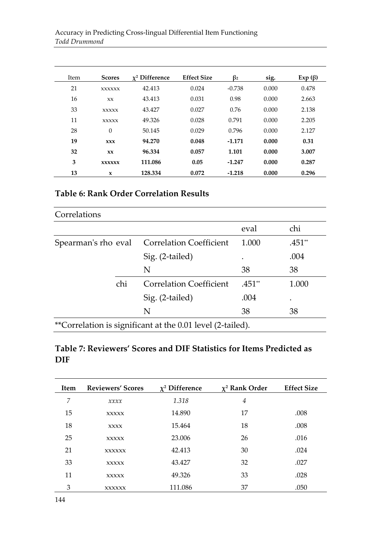| Item | <b>Scores</b> | $\chi^2$ Difference | <b>Effect Size</b> | $\beta_2$ | sig.  | $Exp( \beta)$ |
|------|---------------|---------------------|--------------------|-----------|-------|---------------|
| 21   | <b>XXXXXX</b> | 42.413              | 0.024              | $-0.738$  | 0.000 | 0.478         |
| 16   | <b>XX</b>     | 43.413              | 0.031              | 0.98      | 0.000 | 2.663         |
| 33   | <b>XXXXX</b>  | 43.427              | 0.027              | 0.76      | 0.000 | 2.138         |
| 11   | <b>XXXXX</b>  | 49.326              | 0.028              | 0.791     | 0.000 | 2.205         |
| 28   | $\theta$      | 50.145              | 0.029              | 0.796     | 0.000 | 2.127         |
| 19   | <b>XXX</b>    | 94.270              | 0.048              | $-1.171$  | 0.000 | 0.31          |
| 32   | <b>xx</b>     | 96.334              | 0.057              | 1.101     | 0.000 | 3.007         |
| 3    | <b>XXXXXX</b> | 111.086             | 0.05               | $-1.247$  | 0.000 | 0.287         |
| 13   | X             | 128.334             | 0.072              | $-1.218$  | 0.000 | 0.296         |

# **Table 6: Rank Order Correlation Results**

| Correlations |                                                            |          |        |
|--------------|------------------------------------------------------------|----------|--------|
|              |                                                            | eval     | chi    |
|              | Spearman's rho eval Correlation Coefficient                | 1.000    | .451** |
|              | Sig. (2-tailed)                                            | ٠        | .004   |
|              | N                                                          | 38       | 38     |
| chi          | Correlation Coefficient                                    | $.451**$ | 1.000  |
|              | Sig. (2-tailed)                                            | .004     | ٠      |
|              | N                                                          | 38       | 38     |
|              | **Correlation is significant at the 0.01 level (2-tailed). |          |        |

### **Table 7: Reviewers' Scores and DIF Statistics for Items Predicted as DIF**

| <b>Item</b> | <b>Reviewers' Scores</b> | $\chi^2$ Difference | $\chi^2$ Rank Order | <b>Effect Size</b> |
|-------------|--------------------------|---------------------|---------------------|--------------------|
| 7           | x x x x                  | 1.318               | $\overline{4}$      |                    |
| 15          | <b>XXXXX</b>             | 14.890              | 17                  | .008               |
| 18          | <b>XXXX</b>              | 15.464              | 18                  | .008               |
| 25          | <b>XXXXX</b>             | 23.006              | 26                  | .016               |
| 21          | <b>XXXXXX</b>            | 42.413              | 30                  | .024               |
| 33          | <b>XXXXX</b>             | 43.427              | 32                  | .027               |
| 11          | <b>XXXXX</b>             | 49.326              | 33                  | .028               |
| 3           | <b>XXXXXX</b>            | 111.086             | 37                  | .050               |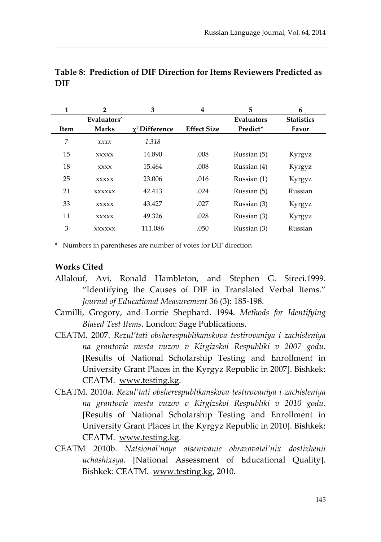| 1    | $\mathbf{2}$  | 3                   | 4                  | 5           | 6                 |
|------|---------------|---------------------|--------------------|-------------|-------------------|
|      | Evaluators'   |                     |                    | Evaluators  | <b>Statistics</b> |
| Item | <b>Marks</b>  | $\chi^2$ Difference | <b>Effect Size</b> | Predict*    | Favor             |
| 7    | x x x x       | 1.318               |                    |             |                   |
| 15   | <b>XXXXX</b>  | 14.890              | .008               | Russian (5) | Kyrgyz            |
| 18   | <b>XXXX</b>   | 15.464              | .008               | Russian (4) | Kyrgyz            |
| 25   | <b>XXXXX</b>  | 23,006              | .016               | Russian (1) | Kyrgyz            |
| 21   | <b>XXXXXX</b> | 42.413              | .024               | Russian (5) | Russian           |
| 33   | <b>XXXXX</b>  | 43.427              | .027               | Russian (3) | Kyrgyz            |
| 11   | <b>XXXXX</b>  | 49.326              | .028               | Russian (3) | Kyrgyz            |
| 3    | <b>XXXXXX</b> | 111.086             | .050               | Russian (3) | Russian           |

**Table 8: Prediction of DIF Direction for Items Reviewers Predicted as DIF**

\* Numbers in parentheses are number of votes for DIF direction

#### **Works Cited**

Allalouf, Avi, Ronald Hambleton, and Stephen G. Sireci.1999. "Identifying the Causes of DIF in Translated Verbal Items." *Journal of Educational Measurement* 36 (3): 185-198.

Camilli, Gregory, and Lorrie Shephard. 1994. *Methods for Identifying Biased Test Items*. London: Sage Publications.

CEATM. 2007. *Rezul'tati obsherespublikanskova testirovaniya i zachisleniya na grantovie mesta vuzov v Kirgizskoi Respubliki v 2007 godu*. [Results of National Scholarship Testing and Enrollment in University Grant Places in the Kyrgyz Republic in 2007]. Bishkek: CEATM. [www.testing.kg.](http://www.testing.kg/)

- CEATM. 2010a. *Rezul'tati obsherespublikanskova testirovaniya i zachisleniya na grantovie mesta vuzov v Kirgizskoi Respubliki v 2010 godu*. [Results of National Scholarship Testing and Enrollment in University Grant Places in the Kyrgyz Republic in 2010]. Bishkek: CEATM. [www.testing.kg.](http://www.testing.kg/)
- CEATM. 2010b. *Natsional'noye otsenivanie obrazovatel'nix dostizhenii uchashixsya.* [National Assessment of Educational Quality]. Bishkek: CEATM. [www.testing.kg,](http://www.testing.kg/) 2010.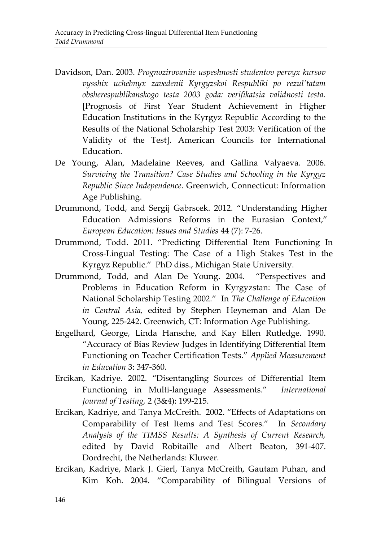- Davidson, Dan. 2003. *Prognozirovaniie uspeshnosti studentov pervyx kursov vysshix uchebnyx zavedenii Kyrgyzskoi Respubliki po rezul'tatam obsherespublikanskogo testa 2003 goda: verifikatsia validnosti testa.*  [Prognosis of First Year Student Achievement in Higher Education Institutions in the Kyrgyz Republic According to the Results of the National Scholarship Test 2003: Verification of the Validity of the Test]. American Councils for International Education.
- De Young, Alan, Madelaine Reeves, and Gallina Valyaeva. 2006. *Surviving the Transition? Case Studies and Schooling in the Kyrgyz Republic Since Independence*. Greenwich, Connecticut: Information Age Publishing.
- Drummond, Todd, and Sergij Gabrscek. 2012. "Understanding Higher Education Admissions Reforms in the Eurasian Context," *European Education: Issues and Studies* 44 (7): 7-26.
- Drummond, Todd. 2011. "Predicting Differential Item Functioning In Cross-Lingual Testing: The Case of a High Stakes Test in the Kyrgyz Republic." PhD diss., Michigan State University.
- Drummond, Todd, and Alan De Young. 2004. "Perspectives and Problems in Education Reform in Kyrgyzstan: The Case of National Scholarship Testing 2002." In *The Challenge of Education in Central Asia,* edited by Stephen Heyneman and Alan De Young, 225-242. Greenwich, CT: Information Age Publishing.
- Engelhard, George, Linda Hansche, and Kay Ellen Rutledge. 1990. "Accuracy of Bias Review Judges in Identifying Differential Item Functioning on Teacher Certification Tests." *Applied Measurement in Education* 3: 347-360.
- Ercikan, Kadriye. 2002. "Disentangling Sources of Differential Item Functioning in Multi-language Assessments." *International Journal of Testing,* 2 (3&4): 199-215.
- Ercikan, Kadriye, and Tanya McCreith. 2002. "Effects of Adaptations on Comparability of Test Items and Test Scores." In *Secondary Analysis of the TIMSS Results: A Synthesis of Current Research,*  edited by David Robitaille and Albert Beaton, 391-407. Dordrecht, the Netherlands: Kluwer.
- Ercikan, Kadriye, Mark J. Gierl, Tanya McCreith, Gautam Puhan, and Kim Koh. 2004. "Comparability of Bilingual Versions of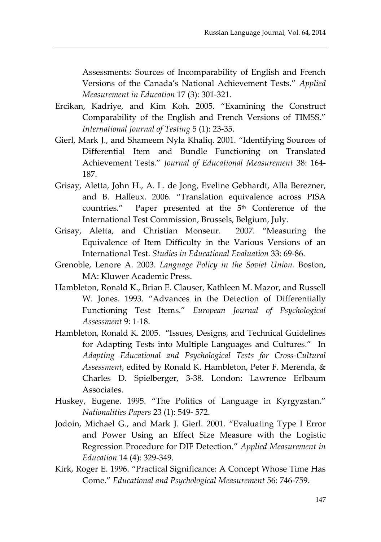Assessments: Sources of Incomparability of English and French Versions of the Canada's National Achievement Tests." *Applied Measurement in Education* 17 (3): 301-321.

- Ercikan, Kadriye, and Kim Koh. 2005. "Examining the Construct Comparability of the English and French Versions of TIMSS." *International Journal of Testing* 5 (1): 23-35.
- Gierl, Mark J., and Shameem Nyla Khaliq. 2001. "Identifying Sources of Differential Item and Bundle Functioning on Translated Achievement Tests." *Journal of Educational Measurement* 38: 164- 187.
- Grisay, Aletta, John H., A. L. de Jong, Eveline Gebhardt, Alla Berezner, and B. Halleux. 2006. "Translation equivalence across PISA countries." Paper presented at the 5<sup>th</sup> Conference of the International Test Commission, Brussels, Belgium, July.
- Grisay, Aletta, and Christian Monseur. 2007. "Measuring the Equivalence of Item Difficulty in the Various Versions of an International Test. *Studies in Educational Evaluation* 33: 69-86.
- Grenoble, Lenore A. 2003. *Language Policy in the Soviet Union.* Boston, MA: Kluwer Academic Press.
- Hambleton, Ronald K., Brian E. Clauser, Kathleen M. Mazor, and Russell W. Jones. 1993. "Advances in the Detection of Differentially Functioning Test Items." *European Journal of Psychological Assessment* 9: 1-18.
- Hambleton, Ronald K. 2005. "Issues, Designs, and Technical Guidelines for Adapting Tests into Multiple Languages and Cultures." In *Adapting Educational and Psychological Tests for Cross-Cultural Assessment*, edited by Ronald K. Hambleton, Peter F. Merenda, & Charles D. Spielberger, 3-38. London: Lawrence Erlbaum Associates.
- Huskey, Eugene. 1995. "The Politics of Language in Kyrgyzstan." *Nationalities Papers* 23 (1): 549- 572.
- Jodoin, Michael G., and Mark J. Gierl. 2001. "Evaluating Type I Error and Power Using an Effect Size Measure with the Logistic Regression Procedure for DIF Detection." *Applied Measurement in Education* 14 (4): 329-349.
- Kirk, Roger E. 1996. "Practical Significance: A Concept Whose Time Has Come." *Educational and Psychological Measurement* 56: 746-759.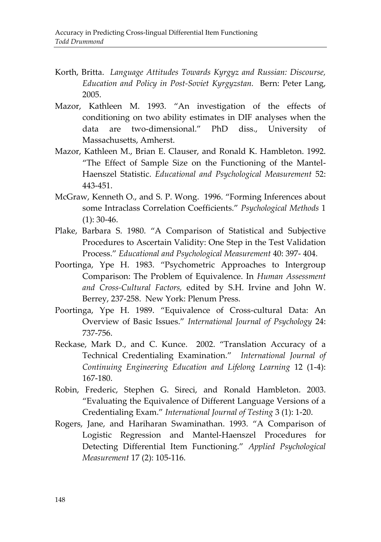- Korth, Britta. *Language Attitudes Towards Kyrgyz and Russian: Discourse, Education and Policy in Post-Soviet Kyrgyzstan.* Bern: Peter Lang, 2005.
- Mazor, Kathleen M. 1993. "An investigation of the effects of conditioning on two ability estimates in DIF analyses when the data are two-dimensional." PhD diss., University of Massachusetts, Amherst.
- Mazor, Kathleen M., Brian E. Clauser, and Ronald K. Hambleton. 1992. "The Effect of Sample Size on the Functioning of the Mantel-Haenszel Statistic. *Educational and Psychological Measurement* 52: 443-451.
- McGraw, Kenneth O., and S. P. Wong. 1996. "Forming Inferences about some Intraclass Correlation Coefficients." *Psychological Methods* 1  $(1): 30-46.$
- Plake, Barbara S. 1980. "A Comparison of Statistical and Subjective Procedures to Ascertain Validity: One Step in the Test Validation Process." *Educational and Psychological Measurement* 40: 397- 404.
- Poortinga, Ype H. 1983. "Psychometric Approaches to Intergroup Comparison: The Problem of Equivalence. In *Human Assessment and Cross-Cultural Factors,* edited by S.H. Irvine and John W. Berrey, 237-258. New York: Plenum Press.
- Poortinga, Ype H. 1989. "Equivalence of Cross-cultural Data: An Overview of Basic Issues." *International Journal of Psychology* 24: 737-756.
- Reckase, Mark D., and C. Kunce. 2002. "Translation Accuracy of a Technical Credentialing Examination." *International Journal of Continuing Engineering Education and Lifelong Learning* 12 (1-4): 167-180.
- Robin, Frederic, Stephen G. Sireci, and Ronald Hambleton. 2003. "Evaluating the Equivalence of Different Language Versions of a Credentialing Exam." *International Journal of Testing* 3 (1): 1-20.
- Rogers, Jane, and Hariharan Swaminathan. 1993. "A Comparison of Logistic Regression and Mantel-Haenszel Procedures for Detecting Differential Item Functioning." *Applied Psychological Measurement* 17 (2): 105-116.